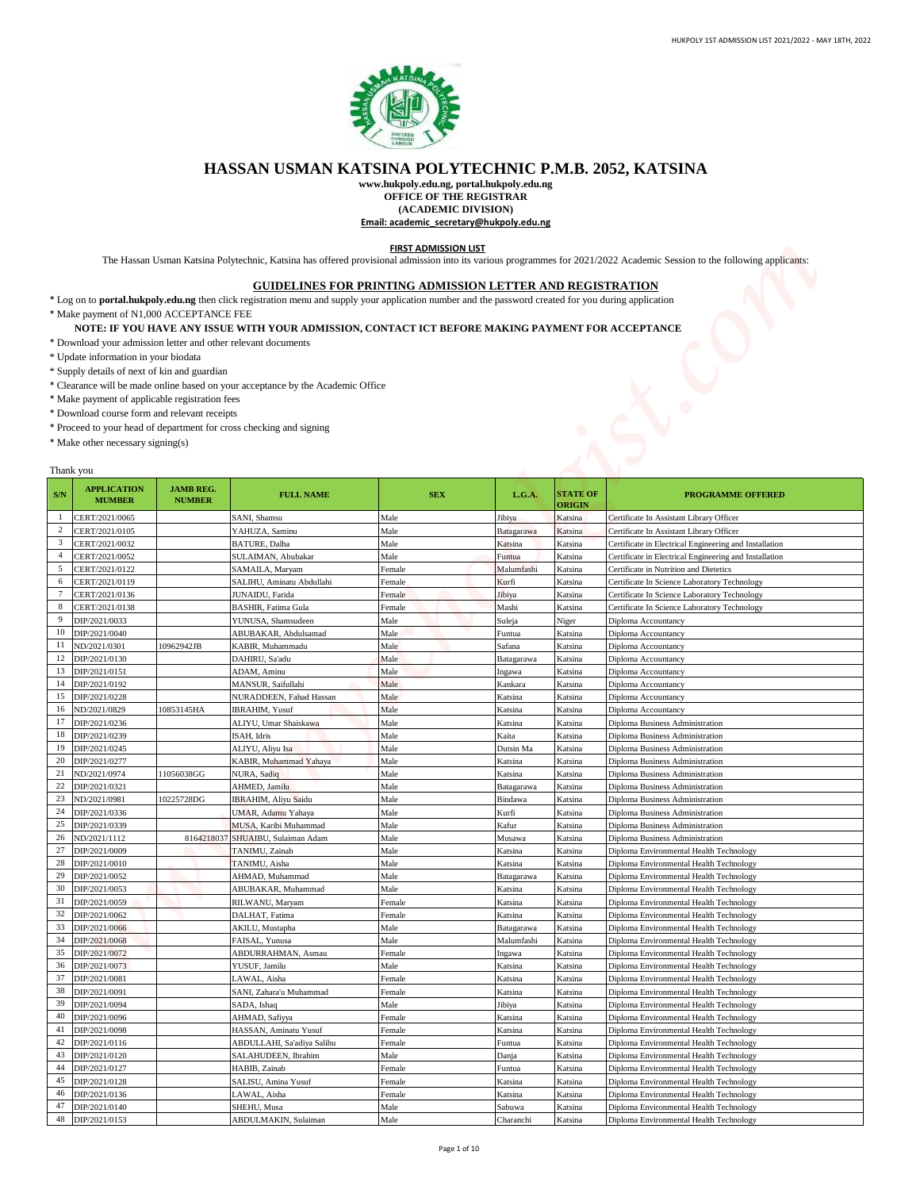

## **HASSAN USMAN KATSINA POLYTECHNIC P.M.B. 2052, KATSINA**

## **GUIDELINES FOR PRINTING ADMISSION LETTER AND REGISTRATION**

## **NOTE: IF YOU HAVE ANY ISSUE WITH YOUR ADMISSION, CONTACT ICT BEFORE MAKING PAYMENT FOR ACCEPTANCE**

- \* Download your admission letter and other relevant documents
- \* Update information in your biodata
- \* Supply details of next of kin and guardian
- \* Clearance will be made online based on your acceptance by the Academic Office
- \* Make payment of applicable registration fees
- \* Download course form and relevant receipts
- \* Proceed to your head of department for cross checking and signing
- \* Make other necessary signing(s)

## Thank you

|                                                                                                                                                                                                          |                                                                                                                                                                                                                                                                        |                                   | HASSAN USMAN KATSINA POLYTECHNIC P.M.B. 2052, KATSINA                                                                                                                                                                                                                                                                                                                                                                                                                                                                                                     |                                                                                            |                                           |                                  |                                                                                                                                                                         |
|----------------------------------------------------------------------------------------------------------------------------------------------------------------------------------------------------------|------------------------------------------------------------------------------------------------------------------------------------------------------------------------------------------------------------------------------------------------------------------------|-----------------------------------|-----------------------------------------------------------------------------------------------------------------------------------------------------------------------------------------------------------------------------------------------------------------------------------------------------------------------------------------------------------------------------------------------------------------------------------------------------------------------------------------------------------------------------------------------------------|--------------------------------------------------------------------------------------------|-------------------------------------------|----------------------------------|-------------------------------------------------------------------------------------------------------------------------------------------------------------------------|
|                                                                                                                                                                                                          |                                                                                                                                                                                                                                                                        |                                   |                                                                                                                                                                                                                                                                                                                                                                                                                                                                                                                                                           |                                                                                            |                                           |                                  |                                                                                                                                                                         |
|                                                                                                                                                                                                          |                                                                                                                                                                                                                                                                        |                                   |                                                                                                                                                                                                                                                                                                                                                                                                                                                                                                                                                           | OFFICE OF THE REGISTRAR<br>(ACADEMIC DIVISION)<br>Email: academic_secretary@hukpoly.edu.ng | www.hukpoly.edu.ng, portal.hukpoly.edu.ng |                                  |                                                                                                                                                                         |
|                                                                                                                                                                                                          |                                                                                                                                                                                                                                                                        |                                   |                                                                                                                                                                                                                                                                                                                                                                                                                                                                                                                                                           | <b>FIRST ADMISSION LIST</b>                                                                |                                           |                                  | The Hassan Usman Katsina Polytechnic, Katsina has offered provisional admission into its various programmes for 2021/2022 Academic Session to the following applicants: |
|                                                                                                                                                                                                          | * Make payment of N1,000 ACCEPTANCE FEE<br>* Update information in your biodata<br>* Supply details of next of kin and guardian<br>* Make payment of applicable registration fees<br>* Download course form and relevant receipts<br>* Make other necessary signing(s) |                                   | <b>GUIDELINES FOR PRINTING ADMISSION LETTER AND REGISTRATION</b><br>* Log on to portal.hukpoly.edu.ng then click registration menu and supply your application number and the password created for you during application<br>NOTE: IF YOU HAVE ANY ISSUE WITH YOUR ADMISSION, CONTACT ICT BEFORE MAKING PAYMENT FOR ACCEPTANCE<br>* Download your admission letter and other relevant documents<br>* Clearance will be made online based on your acceptance by the Academic Office<br>* Proceed to your head of department for cross checking and signing |                                                                                            |                                           |                                  |                                                                                                                                                                         |
| S/N                                                                                                                                                                                                      | Thank you<br><b>APPLICATION</b><br><b>MUMBER</b>                                                                                                                                                                                                                       | <b>JAMB REG.</b><br><b>NUMBER</b> | <b>FULL NAME</b>                                                                                                                                                                                                                                                                                                                                                                                                                                                                                                                                          | <b>SEX</b>                                                                                 | L.G.A.                                    | <b>STATE OF</b><br><b>ORIGIN</b> | <b>PROGRAMME OFFERED</b>                                                                                                                                                |
| $\overline{c}$                                                                                                                                                                                           | CERT/2021/0065                                                                                                                                                                                                                                                         |                                   | SANI, Shamsu                                                                                                                                                                                                                                                                                                                                                                                                                                                                                                                                              | Male                                                                                       | Jibiya                                    | Katsina                          | Certificate In Assistant Library Officer                                                                                                                                |
| 3                                                                                                                                                                                                        | CERT/2021/0105<br>CERT/2021/0032                                                                                                                                                                                                                                       |                                   | YAHUZA, Saminu<br>BATURE, Dalha                                                                                                                                                                                                                                                                                                                                                                                                                                                                                                                           | Male<br>Male                                                                               | Batagarawa<br>Katsina                     | Katsina<br>Katsina               | Certificate In Assistant Library Officer<br>Certificate in Electrical Engineering and Installation                                                                      |
| $\overline{4}$                                                                                                                                                                                           | CERT/2021/0052                                                                                                                                                                                                                                                         |                                   | SULAIMAN, Abubakar                                                                                                                                                                                                                                                                                                                                                                                                                                                                                                                                        | Male                                                                                       | Funtua                                    | Katsina                          | Certificate in Electrical Engineering and Installation                                                                                                                  |
| 5                                                                                                                                                                                                        | CERT/2021/0122                                                                                                                                                                                                                                                         |                                   | SAMAILA, Maryam                                                                                                                                                                                                                                                                                                                                                                                                                                                                                                                                           | Female                                                                                     | Malumfashi                                | Katsina                          | Certificate in Nutrition and Dietetics                                                                                                                                  |
| 6<br>$\overline{7}$                                                                                                                                                                                      | CERT/2021/0119<br>CERT/2021/0136                                                                                                                                                                                                                                       |                                   | SALIHU, Aminatu Abdullahi<br>JUNAIDU, Farida                                                                                                                                                                                                                                                                                                                                                                                                                                                                                                              | Female                                                                                     | Kurfi                                     | Katsina<br>Katsina               | Certificate In Science Laboratory Technology<br>Certificate In Science Laboratory Technology                                                                            |
| 8                                                                                                                                                                                                        | CERT/2021/0138                                                                                                                                                                                                                                                         |                                   | BASHIR, Fatima Gula                                                                                                                                                                                                                                                                                                                                                                                                                                                                                                                                       | Female<br>Female                                                                           | Jibiya<br>Mashi                           | Katsina                          | Certificate In Science Laboratory Technology                                                                                                                            |
| 9                                                                                                                                                                                                        | DIP/2021/0033                                                                                                                                                                                                                                                          |                                   | YUNUSA, Shamsudeen                                                                                                                                                                                                                                                                                                                                                                                                                                                                                                                                        | Male                                                                                       | Suleja                                    | Niger                            | Diploma Accountancy                                                                                                                                                     |
|                                                                                                                                                                                                          | 10 DIP/2021/0040                                                                                                                                                                                                                                                       |                                   | ABUBAKAR, Abdulsamad                                                                                                                                                                                                                                                                                                                                                                                                                                                                                                                                      | Male                                                                                       | Funtua                                    | Katsina                          | Diploma Accountancy                                                                                                                                                     |
| 11<br>12                                                                                                                                                                                                 | ND/2021/0301<br>DIP/2021/0130                                                                                                                                                                                                                                          | 0962942JB                         | KABIR, Muhammadu                                                                                                                                                                                                                                                                                                                                                                                                                                                                                                                                          | Male                                                                                       | Safana                                    | Katsina                          | Diploma Accountancy                                                                                                                                                     |
| 13                                                                                                                                                                                                       |                                                                                                                                                                                                                                                                        |                                   |                                                                                                                                                                                                                                                                                                                                                                                                                                                                                                                                                           |                                                                                            |                                           |                                  |                                                                                                                                                                         |
|                                                                                                                                                                                                          |                                                                                                                                                                                                                                                                        |                                   | DAHIRU, Sa'adu                                                                                                                                                                                                                                                                                                                                                                                                                                                                                                                                            | Male                                                                                       | Batagarawa                                | Katsina                          | Diploma Accountancy                                                                                                                                                     |
|                                                                                                                                                                                                          | DIP/2021/0151<br>DIP/2021/0192                                                                                                                                                                                                                                         |                                   | ADAM, Aminu<br>MANSUR, Saifullahi                                                                                                                                                                                                                                                                                                                                                                                                                                                                                                                         | Male<br>Male                                                                               | Ingawa<br>Kankara                         | Katsina<br>Katsina               | Diploma Accountancy<br>Diploma Accountancy                                                                                                                              |
|                                                                                                                                                                                                          | DIP/2021/0228                                                                                                                                                                                                                                                          |                                   | NURADDEEN, Fahad Hassan                                                                                                                                                                                                                                                                                                                                                                                                                                                                                                                                   | Male                                                                                       | Katsina                                   | Katsina                          | Diploma Accountancy                                                                                                                                                     |
|                                                                                                                                                                                                          | ND/2021/0829                                                                                                                                                                                                                                                           | 0853145HA                         | <b>IBRAHIM, Yusuf</b>                                                                                                                                                                                                                                                                                                                                                                                                                                                                                                                                     | Male                                                                                       | Katsina                                   | Katsina                          | <b>Diploma Accountancy</b>                                                                                                                                              |
|                                                                                                                                                                                                          | DIP/2021/0236<br>DIP/2021/0239                                                                                                                                                                                                                                         |                                   | ALIYU, Umar Shaiskawa<br>ISAH, Idris                                                                                                                                                                                                                                                                                                                                                                                                                                                                                                                      | Male<br>Male                                                                               | Katsina<br>Kaita                          | Katsina<br>Katsina               | <b>Diploma Business Administration</b><br>Diploma Business Administration                                                                                               |
|                                                                                                                                                                                                          | DIP/2021/0245                                                                                                                                                                                                                                                          |                                   | ALIYU, Aliyu Isa                                                                                                                                                                                                                                                                                                                                                                                                                                                                                                                                          | Male                                                                                       | Dutsin Ma                                 | Katsina                          | <b>Diploma Business Administration</b>                                                                                                                                  |
|                                                                                                                                                                                                          | DIP/2021/0277                                                                                                                                                                                                                                                          |                                   | KABIR, Muhammad Yahaya                                                                                                                                                                                                                                                                                                                                                                                                                                                                                                                                    | Male                                                                                       | Katsina                                   | Katsina                          | Diploma Business Administration                                                                                                                                         |
|                                                                                                                                                                                                          | ND/2021/0974<br>DIP/2021/0321                                                                                                                                                                                                                                          | 11056038GG                        | NURA, Sadiq<br>AHMED, Jamil <mark>u</mark>                                                                                                                                                                                                                                                                                                                                                                                                                                                                                                                | Male<br>Male                                                                               | Katsina<br>Batagarawa                     | Katsina<br>Katsina               | Diploma Business Administration<br>Diploma Business Administration                                                                                                      |
|                                                                                                                                                                                                          | ND/2021/0981                                                                                                                                                                                                                                                           | 0225728DG                         | <b>IBRAHIM, Aliyu Saidu</b>                                                                                                                                                                                                                                                                                                                                                                                                                                                                                                                               | Male                                                                                       | Bindawa                                   | Katsina                          | Diploma Business Administration                                                                                                                                         |
|                                                                                                                                                                                                          | DIP/2021/0336                                                                                                                                                                                                                                                          |                                   | UMAR, Adamu Yahaya                                                                                                                                                                                                                                                                                                                                                                                                                                                                                                                                        | Male                                                                                       | Kurfi                                     | Katsina                          | Diploma Business Administration                                                                                                                                         |
|                                                                                                                                                                                                          | DIP/2021/0339<br>ND/2021/1112                                                                                                                                                                                                                                          | 8164218037                        | MUSA, Karibi Muhammad<br>SHUAIBU, Sulaiman Adam                                                                                                                                                                                                                                                                                                                                                                                                                                                                                                           | Male<br>Male                                                                               | Kafur<br>Musawa                           | Katsina<br>Katsina               | Diploma Business Administration<br>Diploma Business Administration                                                                                                      |
|                                                                                                                                                                                                          | DIP/2021/0009                                                                                                                                                                                                                                                          |                                   | TANIMU, Zainab                                                                                                                                                                                                                                                                                                                                                                                                                                                                                                                                            | Male                                                                                       | Katsina                                   | Katsina                          | Diploma Environmental Health Technology                                                                                                                                 |
|                                                                                                                                                                                                          | DIP/2021/0010                                                                                                                                                                                                                                                          |                                   | TANIMU, Aisha                                                                                                                                                                                                                                                                                                                                                                                                                                                                                                                                             | Male                                                                                       | Katsina                                   | Katsina                          | Diploma Environmental Health Technology                                                                                                                                 |
|                                                                                                                                                                                                          | DIP/2021/0052                                                                                                                                                                                                                                                          |                                   | AHMAD, Muhammad                                                                                                                                                                                                                                                                                                                                                                                                                                                                                                                                           | Male                                                                                       | Batagarawa                                | Katsina                          | Diploma Environmental Health Technology                                                                                                                                 |
|                                                                                                                                                                                                          | DIP/2021/0053<br>DIP/2021/0059                                                                                                                                                                                                                                         |                                   | ABUBAKAR, Muhammad<br>RILWANU, Maryam                                                                                                                                                                                                                                                                                                                                                                                                                                                                                                                     | Male<br>Female                                                                             | Katsina<br>Katsina                        | Katsina<br>Katsina               | Diploma Environmental Health Technology<br>Diploma Environmental Health Technology                                                                                      |
|                                                                                                                                                                                                          | DIP/2021/0062                                                                                                                                                                                                                                                          |                                   | DALHAT, Fatima                                                                                                                                                                                                                                                                                                                                                                                                                                                                                                                                            | Female                                                                                     | Katsina                                   | Katsina                          | Diploma Environmental Health Technology                                                                                                                                 |
|                                                                                                                                                                                                          | DIP/2021/0066                                                                                                                                                                                                                                                          |                                   | AKILU, Mustapha                                                                                                                                                                                                                                                                                                                                                                                                                                                                                                                                           | Male                                                                                       | Batagarawa                                | Katsina                          | Diploma Environmental Health Technology                                                                                                                                 |
|                                                                                                                                                                                                          | DIP/2021/0068                                                                                                                                                                                                                                                          |                                   | FAISAL, Yunusa                                                                                                                                                                                                                                                                                                                                                                                                                                                                                                                                            | Male                                                                                       | Malumfashi                                | Katsina                          | Diploma Environmental Health Technology                                                                                                                                 |
|                                                                                                                                                                                                          | DIP/2021/0072<br>DIP/2021/0073                                                                                                                                                                                                                                         |                                   | ABDURRAHMAN, Asmau<br>YUSUF, Jamilu                                                                                                                                                                                                                                                                                                                                                                                                                                                                                                                       | Female<br>Male                                                                             | Ingawa<br>Katsina                         | Katsina<br>Katsina               | Diploma Environmental Health Technology<br>Diploma Environmental Health Technology                                                                                      |
|                                                                                                                                                                                                          | DIP/2021/0081                                                                                                                                                                                                                                                          |                                   | AWAL, Aisha                                                                                                                                                                                                                                                                                                                                                                                                                                                                                                                                               | Female                                                                                     | Katsina                                   | Katsina                          | Diploma Environmental Health Technology                                                                                                                                 |
|                                                                                                                                                                                                          | DIP/2021/0091                                                                                                                                                                                                                                                          |                                   | SANI, Zahara'u Muhammad                                                                                                                                                                                                                                                                                                                                                                                                                                                                                                                                   | Female                                                                                     | Katsina                                   | Katsina                          | Diploma Environmental Health Technology                                                                                                                                 |
|                                                                                                                                                                                                          | DIP/2021/0094                                                                                                                                                                                                                                                          |                                   | SADA, Ishaq                                                                                                                                                                                                                                                                                                                                                                                                                                                                                                                                               | Male                                                                                       | Jibiya                                    | Katsina                          | Diploma Environmental Health Technology                                                                                                                                 |
|                                                                                                                                                                                                          | DIP/2021/0096                                                                                                                                                                                                                                                          |                                   | AHMAD, Safiyya                                                                                                                                                                                                                                                                                                                                                                                                                                                                                                                                            | Female                                                                                     | Katsina                                   | Katsina                          | Diploma Environmental Health Technology                                                                                                                                 |
|                                                                                                                                                                                                          | DIP/2021/0098<br>DIP/2021/0116                                                                                                                                                                                                                                         |                                   | HASSAN, Aminatu Yusuf<br>ABDULLAHI, Sa'adiya Salihu                                                                                                                                                                                                                                                                                                                                                                                                                                                                                                       | Female<br>Female                                                                           | Katsina<br>Funtua                         | Katsina<br>Katsina               | Diploma Environmental Health Technology<br>Diploma Environmental Health Technology                                                                                      |
|                                                                                                                                                                                                          | DIP/2021/0120                                                                                                                                                                                                                                                          |                                   | SALAHUDEEN, Ibrahim                                                                                                                                                                                                                                                                                                                                                                                                                                                                                                                                       | Male                                                                                       | Danja                                     | Katsina                          | Diploma Environmental Health Technology                                                                                                                                 |
|                                                                                                                                                                                                          | DIP/2021/0127                                                                                                                                                                                                                                                          |                                   | HABIB, Zainab                                                                                                                                                                                                                                                                                                                                                                                                                                                                                                                                             | Female                                                                                     | Funtua                                    | Katsina                          | Diploma Environmental Health Technology                                                                                                                                 |
|                                                                                                                                                                                                          | DIP/2021/0128                                                                                                                                                                                                                                                          |                                   | SALISU, Amina Yusuf                                                                                                                                                                                                                                                                                                                                                                                                                                                                                                                                       | Female                                                                                     | Katsina                                   | Katsina                          | Diploma Environmental Health Technology                                                                                                                                 |
| 14<br>15<br>16<br>17<br>18<br>19<br>20<br>21<br>22<br>23<br>24<br>25<br>26<br>27<br>28<br>29<br>30<br>31<br>32<br>33<br>34<br>35<br>36<br>37<br>38<br>39<br>40<br>41<br>42<br>43<br>44<br>45<br>46<br>47 | DIP/2021/0136<br>DIP/2021/0140                                                                                                                                                                                                                                         |                                   | LAWAL, Aisha<br>SHEHU, Musa                                                                                                                                                                                                                                                                                                                                                                                                                                                                                                                               | Female<br>Male                                                                             | Katsina<br>Sabuwa                         | Katsina<br>Katsina               | Diploma Environmental Health Technology<br>Diploma Environmental Health Technology                                                                                      |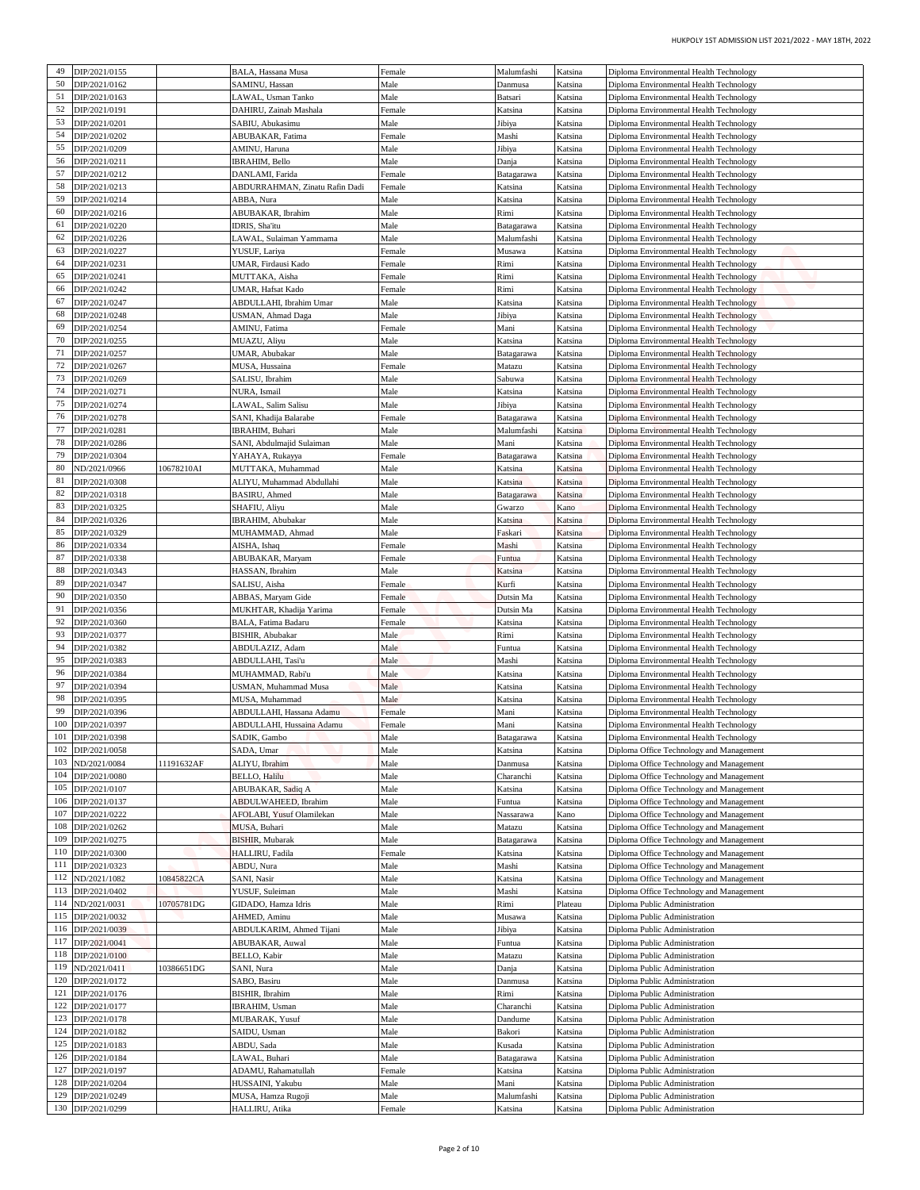| Diploma Environmental Health Technology                                              | Katsina            | Malumfashi            | Female           | BALA, Hassana Musa                                              |            | DIP/2021/0155                      | 49         |
|--------------------------------------------------------------------------------------|--------------------|-----------------------|------------------|-----------------------------------------------------------------|------------|------------------------------------|------------|
| Diploma Environmental Health Technology                                              | Katsina            | Danmusa               | Male             | SAMINU, Hassan                                                  |            | DIP/2021/0162                      | 50         |
| Diploma Environmental Health Technology<br>Diploma Environmental Health Technology   | Katsina<br>Katsina | Batsari<br>Katsina    | Male<br>Female   | LAWAL, Usman Tanko<br>DAHIRU, Zainab Mashala                    |            | DIP/2021/0163<br>DIP/2021/0191     | 51<br>52   |
| Diploma Environmental Health Technology                                              | Katsina            | Jibiya                | Male             | SABIU, Abukasimu                                                |            | DIP/2021/0201                      | 53         |
| Diploma Environmental Health Technology                                              | Katsina            | Mashi                 | Female           | ABUBAKAR, Fatima                                                |            | DIP/2021/0202                      | 54         |
| Diploma Environmental Health Technology                                              | Katsina            | Jibiya                | Male             | AMINU, Haruna                                                   |            | DIP/2021/0209                      | 55<br>56   |
| Diploma Environmental Health Technology<br>Diploma Environmental Health Technology   | Katsina<br>Katsina | Danja<br>Batagarawa   | Male<br>Female   | IBRAHIM, Bello<br>DANLAMI, Farida                               |            | DIP/2021/0211<br>DIP/2021/0212     | 57         |
| Diploma Environmental Health Technology                                              | Katsina            | Katsina               | Female           | ABDURRAHMAN, Zinatu Rafin Dadi                                  |            | DIP/2021/0213                      | 58         |
| Diploma Environmental Health Technology                                              | Katsina            | Katsina               | Male             | ABBA, Nura                                                      |            | DIP/2021/0214                      | 59         |
| Diploma Environmental Health Technology<br>Diploma Environmental Health Technology   | Katsina<br>Katsina | Rimi<br>Batagarawa    | Male<br>Male     | ABUBAKAR, Ibrahim<br>IDRIS, Sha'itu                             |            | DIP/2021/0216<br>DIP/2021/0220     | 60<br>61   |
| Diploma Environmental Health Technology                                              | Katsina            | Malumfashi            | Male             | LAWAL, Sulaiman Yammama                                         |            | DIP/2021/0226                      | 62         |
| Diploma Environmental Health Technology                                              | Katsina            | Musawa                | Female           | YUSUF, Lariya                                                   |            | DIP/2021/0227                      | 63         |
| Diploma Environmental Health Technology                                              | Katsina            | Rimi                  | Female           | UMAR, Firdausi Kado                                             |            | DIP/2021/0231                      | 64         |
| Diploma Environmental Health Technology<br>Diploma Environmental Health Technology   | Katsina<br>Katsina | Rimi<br>Rimi          | Female<br>Female | MUTTAKA, Aisha<br>UMAR, Hafsat Kado                             |            | DIP/2021/0241<br>DIP/2021/0242     | 65<br>66   |
| Diploma Environmental Health Technology                                              | Katsina            | Katsina               | Male             | ABDULLAHI, Ibrahim Umar                                         |            | DIP/2021/0247                      | 67         |
| Diploma Environmental Health Technology                                              | Katsina            | Jibiya                | Male             | USMAN, Ahmad Daga                                               |            | DIP/2021/0248                      | 68         |
| Diploma Environmental Health Technology<br>Diploma Environmental Health Technology   | Katsina<br>Katsina | Mani<br>Katsina       | Female<br>Male   | AMINU, Fatima<br>MUAZU, Aliyu                                   |            | DIP/2021/0254<br>DIP/2021/0255     | 69<br>70   |
| Diploma Environmental Health Technology                                              | Katsina            | Batagarawa            | Male             | UMAR, Abubakar                                                  |            | DIP/2021/0257                      | 71         |
| Diploma Environmental Health Technology                                              | Katsina            | Matazu                | Female           | MUSA, Hussaina                                                  |            | DIP/2021/0267                      | 72         |
| Diploma Environmental Health Technology                                              | Katsina            | Sabuwa                | Male             | SALISU, Ibrahim                                                 |            | DIP/2021/0269                      | 73         |
| Diploma Environmental Health Technology<br>Diploma Environmental Health Technology   | Katsina<br>Katsina | Katsina<br>Jibiya     | Male<br>Male     | NURA, Ismail<br>LAWAL, Salim Salisu                             |            | DIP/2021/0271<br>DIP/2021/0274     | 74<br>75   |
| Diploma Environmental Health Technology                                              | Katsina            | Batagarawa            | Female           | SANI, Khadija Balarabe                                          |            | DIP/2021/0278                      | 76         |
| Diploma Environmental Health Technology                                              | Katsina            | Malumfashi            | Male             | IBRAHIM, Buhari                                                 |            | DIP/2021/0281                      | 77         |
| Diploma Environmental Health Technology                                              | Katsina            | Mani                  | Male             | SANI, Abdulmajid Sulaiman                                       |            | DIP/2021/0286                      | 78<br>79   |
| Diploma Environmental Health Technology<br>Diploma Environmental Health Technology   | Katsina<br>Katsina | Batagarawa<br>Katsina | Female<br>Male   | YAHAYA, Rukayya<br>MUTTAKA, Muhammad                            | 10678210AI | DIP/2021/0304<br>ND/2021/0966      | 80         |
| Diploma Environmental Health Technology                                              | Katsina            | Katsina               | Male             | ALIYU, Muhammad Abdullahi                                       |            | DIP/2021/0308                      | 81         |
| Diploma Environmental Health Technology                                              | Katsina            | Batagarawa            | Male             | BASIRU, Ahmed                                                   |            | DIP/2021/0318                      | 82         |
| Diploma Environmental Health Technology<br>Diploma Environmental Health Technology   | Kano<br>Katsina    | Gwarzo<br>Katsina     | Male<br>Male     | SHAFIU, Aliyu<br>IBRAHIM, Abubakar                              |            | DIP/2021/0325<br>DIP/2021/0326     | 83<br>84   |
| Diploma Environmental Health Technology                                              | Katsina            | Faskari               | Male             | MUHAMMAD, Ahmad                                                 |            | DIP/2021/0329                      | 85         |
| Diploma Environmental Health Technology                                              | Katsina            | Mashi                 | Female           | AISHA, Ishaq                                                    |            | DIP/2021/0334                      | 86         |
| Diploma Environmental Health Technology                                              | Katsina            | Funtua                | Female           | ABUBAKAR, Maryam                                                |            | DIP/2021/0338                      | 87<br>88   |
| Diploma Environmental Health Technology<br>Diploma Environmental Health Technology   | Katsina<br>Katsina | Katsina<br>Kurfi      | Male<br>Female   | HASSAN, Ibrahim<br>SALISU, Aisha                                |            | DIP/2021/0343<br>DIP/2021/0347     | 89         |
| Diploma Environmental Health Technology                                              | Katsina            | Dutsin Ma             | Female           | ABBAS, Maryam Gide                                              |            | DIP/2021/0350                      | 90         |
| Diploma Environmental Health Technology                                              | Katsina            | Dutsin Ma             | Female           | MUKHTAR, Khadija Yarima                                         |            | DIP/2021/0356                      | 91         |
| Diploma Environmental Health Technology                                              | Katsina            | Katsina               | Female           | BALA. Fatima Badaru                                             |            | DIP/2021/0360                      | 92<br>93   |
| Diploma Environmental Health Technology<br>Diploma Environmental Health Technology   | Katsina<br>Katsina | Rimi<br>Funtua        | Male<br>Male     | BISHIR, Abubakar<br>ABDULAZIZ, Adam                             |            | DIP/2021/0377<br>DIP/2021/0382     | 94         |
| Diploma Environmental Health Technology                                              | Katsina            | Mashi                 | Male             | ABDULLAHI, Tasi'u                                               |            | DIP/2021/0383                      | 95         |
| Diploma Environmental Health Technology                                              | Katsina            | Katsina               | Male             | MUHAMMAD, Rabi'u                                                |            | DIP/2021/0384                      | 96         |
| Diploma Environmental Health Technology<br>Diploma Environmental Health Technology   | Katsina<br>Katsina | Katsina<br>Katsina    | Male<br>Male     | USMAN, Muhammad Musa<br>MUSA, Muhammad                          |            | DIP/2021/0394<br>DIP/2021/0395     | 97<br>98   |
| Diploma Environmental Health Technology                                              | Katsina            | Mani                  | Female           | ABDULLAHI, Hassana Adamu                                        |            | DIP/2021/0396                      | 99         |
| Diploma Environmental Health Technology                                              | Katsina            | Mani                  | Female           | ABDULLAHI, Hussaina Adamu                                       |            | DIP/2021/0397                      | 100        |
| Diploma Environmental Health Technology                                              | Katsina            | Batagarawa            | Male             | SADIK, Gambo                                                    |            | DIP/2021/0398                      | 101        |
| Diploma Office Technology and Management<br>Diploma Office Technology and Management | Katsina<br>Katsina | Katsina<br>Danmusa    | Male<br>Male     | SADA, Umar<br>ALIYU, Ibrahim                                    | 11191632AF | DIP/2021/0058<br>ND/2021/0084      | 102<br>103 |
| Diploma Office Technology and Management                                             | Katsina            | Charanchi             | Male             | <b>BELLO, Halilu</b>                                            |            | DIP/2021/0080                      | 104        |
| Diploma Office Technology and Management                                             | Katsina            | Katsina               | Male             | ABUBAKAR, Sadiq A                                               |            | DIP/2021/0107                      | 105        |
| Diploma Office Technology and Management<br>Diploma Office Technology and Management | Katsina<br>Kano    | Funtua<br>Nassarawa   | Male<br>Male     | <b>ABDULWAHEED, Ibrahim</b><br><b>AFOLABI, Yusuf Olamilekan</b> |            | DIP/2021/0137<br>DIP/2021/0222     | 106<br>107 |
| Diploma Office Technology and Management                                             | Katsina            | Matazu                | Male             | MUSA, Buhari                                                    |            | DIP/2021/0262                      | 108        |
| Diploma Office Technology and Management                                             | Katsina            | Batagarawa            | Male             | <b>BISHIR, Mubarak</b>                                          |            | DIP/2021/0275                      | 109        |
| Diploma Office Technology and Management                                             | Katsina            | Katsina               | Female           | HALLIRU, Fadila                                                 |            | DIP/2021/0300                      | 110        |
| Diploma Office Technology and Management<br>Diploma Office Technology and Management | Katsina<br>Katsina | Mashi<br>Katsina      | Male<br>Male     | ABDU, Nura<br>SANI, Nasir                                       | 0845822CA  | DIP/2021/0323<br>ND/2021/1082      | 111<br>112 |
| Diploma Office Technology and Management                                             | Katsina            | Mashi                 | Male             | YUSUF, Suleiman                                                 |            | DIP/2021/0402                      | 113        |
| Diploma Public Administration                                                        | Plateau            | Rimi                  | Male             | GIDADO, Hamza Idris                                             | 10705781DG | ND/2021/0031                       | 114        |
| Diploma Public Administration                                                        | Katsina            | Musawa                | Male             | AHMED, Aminu                                                    |            | DIP/2021/0032                      | 115        |
| Diploma Public Administration<br>Diploma Public Administration                       | Katsina<br>Katsina | Jibiya<br>Funtua      | Male<br>Male     | ABDULKARIM, Ahmed Tijani<br>ABUBAKAR, Auwal                     |            | DIP/2021/0039<br>DIP/2021/0041     | 116<br>117 |
| Diploma Public Administration                                                        | Katsina            | Matazu                | Male             | BELLO, Kabir                                                    |            | DIP/2021/0100                      | 118        |
| Diploma Public Administration                                                        | Katsina            | Danja                 | Male             | SANI, Nura                                                      | 10386651DG | ND/2021/0411                       | 119        |
| Diploma Public Administration<br>Diploma Public Administration                       | Katsina            | Danmusa<br>Rimi       | Male<br>Male     | SABO, Basiru<br>BISHIR, Ibrahim                                 |            | DIP/2021/0172<br>121 DIP/2021/0176 | 120        |
| Diploma Public Administration                                                        | Katsina<br>Katsina | Charanchi             | Male             | IBRAHIM, Usman                                                  |            | DIP/2021/0177                      | 122        |
| Diploma Public Administration                                                        | Katsina            | Dandume               | Male             | MUBARAK, Yusuf                                                  |            | DIP/2021/0178                      | 123        |
| Diploma Public Administration                                                        | Katsina            | Bakori                | Male             | SAIDU, Usman                                                    |            | DIP/2021/0182                      | 124        |
| Diploma Public Administration<br>Diploma Public Administration                       | Katsina<br>Katsina | Kusada<br>Batagarawa  | Male<br>Male     | ABDU, Sada<br>LAWAL, Buhari                                     |            | DIP/2021/0183<br>DIP/2021/0184     | 125<br>126 |
| Diploma Public Administration                                                        | Katsina            | Katsina               | Female           | ADAMU, Rahamatullah                                             |            | DIP/2021/0197                      | 127        |
| Diploma Public Administration                                                        | Katsina            | Mani                  | Male             | HUSSAINI, Yakubu                                                |            | DIP/2021/0204                      | 128        |
|                                                                                      |                    |                       |                  |                                                                 |            |                                    | 129        |
| Diploma Public Administration<br>Diploma Public Administration                       | Katsina<br>Katsina | Malumfashi<br>Katsina | Male<br>Female   | MUSA, Hamza Rugoji<br>HALLIRU, Atika                            |            | DIP/2021/0249<br>DIP/2021/0299     | 130        |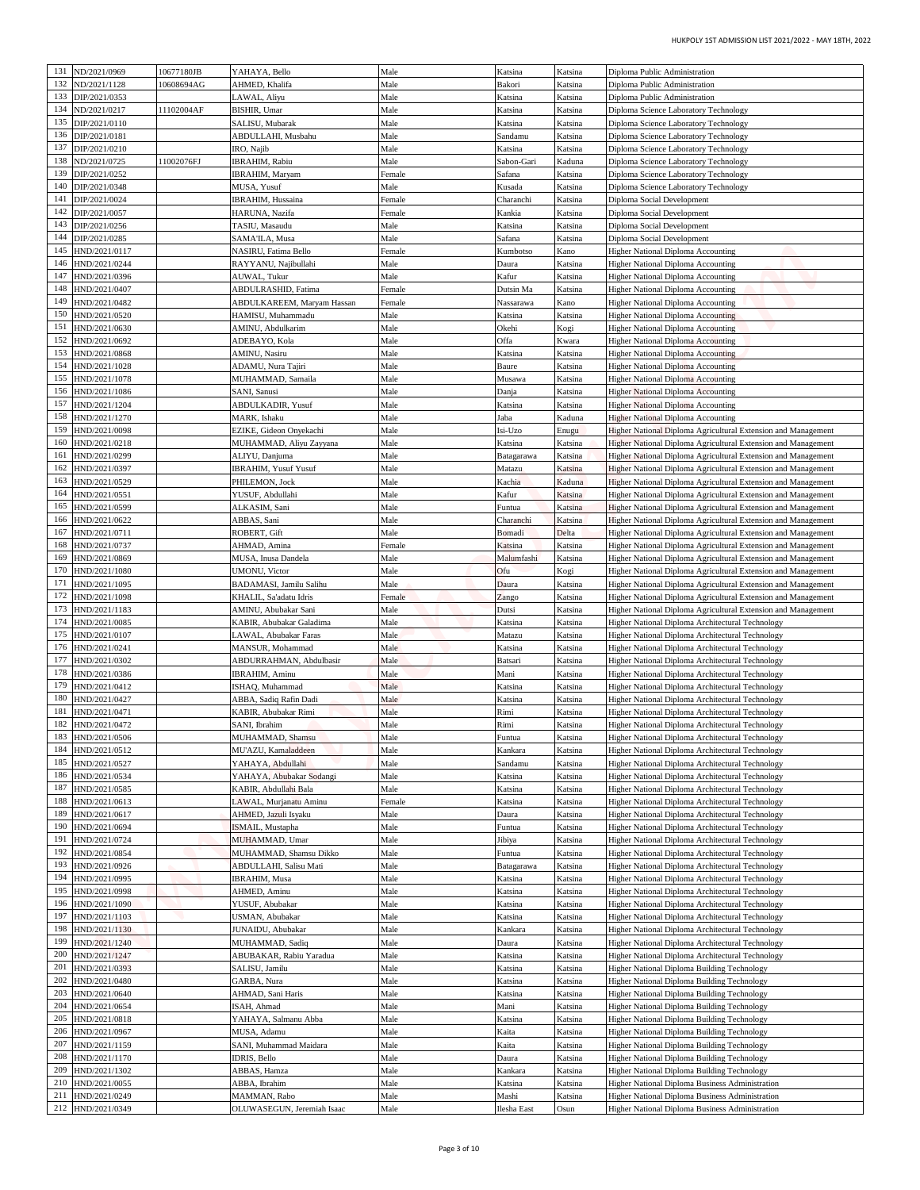| Diploma Public Administration<br>Diploma Public Administration                                                                 | Katsina<br>Katsina | Katsina<br>Bakori           | Male<br>Male   | YAHAYA, Bello<br>AHMED, Khalifa                 | 10677180JB<br>10608694AG | ND/2021/0969<br>ND/2021/1128       | 131<br>132 |
|--------------------------------------------------------------------------------------------------------------------------------|--------------------|-----------------------------|----------------|-------------------------------------------------|--------------------------|------------------------------------|------------|
| Diploma Public Administration                                                                                                  | Katsina            | Katsina                     | Male           | LAWAL, Aliyu                                    |                          | DIP/2021/0353                      | 133        |
| Diploma Science Laboratory Technology                                                                                          | Katsina            | Katsina                     | Male           | BISHIR, Umar                                    | 11102004AF               | ND/2021/0217                       | 134        |
| Diploma Science Laboratory Technology                                                                                          | Katsina            | Katsina                     | Male           | SALISU, Mubarak                                 |                          | DIP/2021/0110                      | 135        |
| Diploma Science Laboratory Technology                                                                                          | Katsina            | Sandamu                     | Male           | ABDULLAHI, Musbahu                              |                          | DIP/2021/0181                      | 136        |
| Diploma Science Laboratory Technology                                                                                          | Katsina<br>Kaduna  | Katsina                     | Male<br>Male   | IRO, Najib<br>IBRAHIM, Rabiu                    | 11002076FJ               | DIP/2021/0210<br>ND/2021/0725      | 137<br>138 |
| Diploma Science Laboratory Technology<br>Diploma Science Laboratory Technology                                                 | Katsina            | Sabon-Gari<br><b>Safana</b> | Female         | IBRAHIM, Maryam                                 |                          | DIP/2021/0252                      | 139        |
| Diploma Science Laboratory Technology                                                                                          | Katsina            | Kusada                      | Male           | MUSA, Yusuf                                     |                          | DIP/2021/0348                      | 140        |
| Diploma Social Development                                                                                                     | Katsina            | Charanchi                   | Female         | <b>IBRAHIM</b> , Hussaina                       |                          | DIP/2021/0024                      | 141        |
| <b>Diploma Social Development</b>                                                                                              | Katsina            | Kankia                      | Female         | HARUNA, Nazifa                                  |                          | DIP/2021/0057                      | 142        |
| <b>Diploma Social Development</b><br>Diploma Social Development                                                                | Katsina<br>Katsina | Katsina<br>Safana           | Male<br>Male   | TASIU, Masaudu<br>SAMA'ILA, Musa                |                          | DIP/2021/0256<br>DIP/2021/0285     | 143<br>144 |
| <b>Higher National Diploma Accounting</b>                                                                                      | Kano               | Kumbotso                    | Female         | NASIRU, Fatima Bello                            |                          | HND/2021/0117                      | 145        |
| <b>Higher National Diploma Accounting</b>                                                                                      | Katsina            | Daura                       | Male           | RAYYANU, Najibullahi                            |                          | HND/2021/0244                      | 146        |
| Higher National Diploma Accounting                                                                                             | Katsina            | Kafur                       | Male           | AUWAL, Tukur                                    |                          | HND/2021/0396                      | 147        |
| Higher National Diploma Accounting                                                                                             | Katsina            | Dutsin Ma                   | Female         | ABDULRASHID, Fatima                             |                          | HND/2021/0407                      | 148        |
| <b>Higher National Diploma Accounting</b><br>Higher National Diploma Accounting                                                | Kano<br>Katsina    | Vassarawa                   | Female<br>Male | ABDULKAREEM, Maryam Hassan<br>HAMISU, Muhammadu |                          | HND/2021/0482<br>HND/2021/0520     | 149<br>150 |
| <b>Higher National Diploma Accounting</b>                                                                                      | Kogi               | Katsina<br>Okehi            | Male           | AMINU, Abdulkarim                               |                          | HND/2021/0630                      | 151        |
| <b>Higher National Diploma Accounting</b>                                                                                      | Kwara              | Offa                        | Male           | ADEBAYO, Kola                                   |                          | HND/2021/0692                      | 152        |
| <b>Higher National Diploma Accounting</b>                                                                                      | Katsina            | Katsina                     | Male           | AMINU, Nasiru                                   |                          | HND/2021/0868                      | 153        |
| <b>Higher National Diploma Accounting</b>                                                                                      | Katsina            | Baure                       | Male           | ADAMU, Nura Tajiri                              |                          | HND/2021/1028                      | 154        |
| <b>Higher National Diploma Accounting</b>                                                                                      | Katsina<br>Katsina | Musawa                      | Male<br>Male   | MUHAMMAD, Samaila                               |                          | HND/2021/1078                      | 155<br>156 |
| <b>Higher National Diploma Accounting</b><br><b>Higher National Diploma Accounting</b>                                         | Katsina            | Danja<br>Katsina            | Male           | SANI, Sanusi<br><b>ABDULKADIR, Yusuf</b>        |                          | HND/2021/1086<br>HND/2021/1204     | 157        |
| <b>Higher National Diploma Accounting</b>                                                                                      | Kaduna             | Jaba                        | Male           | MARK, Ishaku                                    |                          | HND/2021/1270                      | 158        |
| Higher National Diploma Agricultural Extension and Management                                                                  | Enugu              | Isi-Uzo                     | Male           | EZIKE, Gideon Onyekachi                         |                          | HND/2021/0098                      | 159        |
| Higher National Diploma Agricultural Extension and Management                                                                  | Katsina            | Katsina                     | Male           | MUHAMMAD, Aliyu Zayyana                         |                          | HND/2021/0218                      | 160        |
| <b>Higher National Diploma Agricultural Extension and Management</b>                                                           | Katsina            | Batagarawa                  | Male           | ALIYU, Danjuma                                  |                          | HND/2021/0299                      | 161        |
| Higher National Diploma Agricultural Extension and Management<br>Higher National Diploma Agricultural Extension and Management | Katsina<br>Kaduna  | Matazu<br>Kachia            | Male<br>Male   | <b>IBRAHIM, Yusuf Yusuf</b><br>PHILEMON, Jock   |                          | HND/2021/0397<br>HND/2021/0529     | 162<br>163 |
| Higher National Diploma Agricultural Extension and Management                                                                  | Katsina            | Kafur                       | Male           | YUSUF, Abdullahi                                |                          | IND/2021/0551                      | 164        |
| <b>Higher National Diploma Agricultural Extension and Management</b>                                                           | Katsina            | Funtua                      | Male           | ALKASIM, Sani                                   |                          | HND/2021/0599                      | 165        |
| Higher National Diploma Agricultural Extension and Management                                                                  | Katsina            | Charanchi                   | Male           | ABBAS, Sani                                     |                          | HND/2021/0622                      | 166        |
| Higher National Diploma Agricultural Extension and Management                                                                  | Delta              | <b>Bomadi</b>               | Male           | ROBERT, Gift                                    |                          | HND/2021/0711                      | 167        |
| Higher National Diploma Agricultural Extension and Management<br>Higher National Diploma Agricultural Extension and Management | Katsina<br>Katsina | Katsina                     | Female<br>Male | AHMAD, Amina                                    |                          | HND/2021/0737<br>HND/2021/0869     | 168<br>169 |
| Higher National Diploma Agricultural Extension and Management                                                                  | Kogi               | Malumfashi<br>Ofu           | Male           | MUSA, Inusa Dandela<br>UMONU, Victor            |                          | HND/2021/1080                      | 170        |
| Higher National Diploma Agricultural Extension and Management                                                                  | Katsina            | Daura                       | Male           | BADAMASI, Jamilu Salihu                         |                          | IND/2021/1095                      | 171        |
| <b>Higher National Diploma Agricultural Extension and Management</b>                                                           | Katsina            | Zango                       | Female         | KHALIL, Sa'adatu Idris                          |                          | HND/2021/1098                      | 172        |
| Higher National Diploma Agricultural Extension and Management                                                                  | Katsina            | Dutsi                       | Male           | AMINU, Abubakar Sani                            |                          | HND/2021/1183                      | 173        |
| Higher National Diploma Architectural Technology                                                                               | Katsina            | Katsina                     | Male           | KABIR, Abubakar Galadima                        |                          | HND/2021/0085                      | 174        |
| Higher National Diploma Architectural Technology<br>Higher National Diploma Architectural Technology                           | Katsina<br>Katsina | Matazu<br>Katsina           | Male<br>Male   | LAWAL, Abubakar Faras<br>MANSUR, Mohammad       |                          | 175 HND/2021/0107<br>HND/2021/0241 | 176        |
| Higher National Diploma Architectural Technology                                                                               | Katsina            | Batsari                     | Male           | ABDURRAHMAN, Abdulbasir                         |                          | 177 HND/2021/0302                  |            |
| Higher National Diploma Architectural Technology                                                                               | Katsina            | Mani                        | Male           | <b>IBRAHIM, Aminu</b>                           |                          | HND/2021/0386                      | 178        |
| Higher National Diploma Architectural Technology                                                                               | Katsina            | Katsina                     | Male           | ISHAQ, Muhammad                                 |                          | HND/2021/0412                      | 179        |
| Higher National Diploma Architectural Technology                                                                               | Katsina            | Katsina                     | Male           | ABBA, Sadiq Rafin Dadi                          |                          | HND/2021/0427                      | 180        |
| Higher National Diploma Architectural Technology<br>Higher National Diploma Architectural Technology                           | Katsina<br>Katsina | Rimi<br>Rimi                | Male<br>Male   | KABIR, Abubakar Rimi<br>SANI, Ibrahim           |                          | HND/2021/0471<br>HND/2021/0472     | 181<br>182 |
| Higher National Diploma Architectural Technology                                                                               | Katsina            | Funtua                      | Male           | MUHAMMAD, Shamsu                                |                          | HND/2021/0506                      | 183        |
| Higher National Diploma Architectural Technology                                                                               | Katsina            | Kankara                     | Male           | MU'AZU, Kamaladdeen                             |                          | HND/2021/0512                      | 184        |
| Higher National Diploma Architectural Technology                                                                               | Katsina            | Sandamu                     | Male           | YAHAYA, Abdullahi                               |                          | HND/2021/0527                      | 185        |
| <b>Higher National Diploma Architectural Technology</b>                                                                        | Katsina            | Katsina                     | Male           | YAHAYA, Abubakar Sodangi                        |                          | HND/2021/0534                      | 186        |
| Higher National Diploma Architectural Technology<br>Higher National Diploma Architectural Technology                           | Katsina<br>Katsina | Katsina<br>Katsina          | Male<br>Female | KABIR, Abdullahi Bala<br>LAWAL, Murjanatu Aminu |                          | HND/2021/0585<br>HND/2021/0613     | 187<br>188 |
| Higher National Diploma Architectural Technology                                                                               | Katsina            | Daura                       | Male           | AHMED, Jazuli Isyaku                            |                          | HND/2021/0617                      | 189        |
| Higher National Diploma Architectural Technology                                                                               | Katsina            | Funtua                      | Male           | ISMAIL, Mustapha                                |                          | HND/2021/0694                      | 190        |
| <b>Higher National Diploma Architectural Technology</b>                                                                        | Katsina            | Jibiya                      | Male           | MUHAMMAD, Umar                                  |                          | HND/2021/0724                      | 191        |
| Higher National Diploma Architectural Technology                                                                               | Katsina            | Funtua                      | Male           | MUHAMMAD, Shamsu Dikko                          |                          | HND/2021/0854                      | 192        |
| Higher National Diploma Architectural Technology                                                                               | Katsina            | Batagarawa                  | Male           | <b>ABDULLAHI</b> , Salisu Mati                  |                          | HND/2021/0926                      | 193<br>194 |
| Higher National Diploma Architectural Technology<br>Higher National Diploma Architectural Technology                           | Katsina<br>Katsina | Katsina<br>Katsina          | Male<br>Male   | IBRAHIM, Musa<br>AHMED, Aminu                   |                          | HND/2021/0995<br>HND/2021/0998     | 195        |
| Higher National Diploma Architectural Technology                                                                               | Katsina            | Katsina                     | Male           | YUSUF, Abubakar                                 |                          | HND/2021/1090                      | 196        |
| Higher National Diploma Architectural Technology                                                                               | Katsina            | Katsina                     | Male           | USMAN, Abubakar                                 |                          | HND/2021/1103                      | 197        |
| <b>Higher National Diploma Architectural Technology</b>                                                                        | Katsina            | Kankara                     | Male           | JUNAIDU, Abubakar                               |                          | HND/2021/1130                      | 198        |
| Higher National Diploma Architectural Technology                                                                               | Katsina            | Daura                       | Male           | MUHAMMAD, Sadiq                                 |                          | HND/2021/1240                      | 199<br>200 |
| Higher National Diploma Architectural Technology<br>Higher National Diploma Building Technology                                | Katsina<br>Katsina | Katsina<br>Katsina          | Male<br>Male   | ABUBAKAR, Rabiu Yaradua<br>SALISU, Jamilu       |                          | HND/2021/1247<br>HND/2021/0393     | 201        |
| Higher National Diploma Building Technology                                                                                    | Katsina            | Katsina                     | Male           | GARBA, Nura                                     |                          | HND/2021/0480                      | 202        |
| Higher National Diploma Building Technology                                                                                    | Katsina            | Katsina                     | Male           | AHMAD, Sani Haris                               |                          | HND/2021/0640                      | 203        |
| Higher National Diploma Building Technology                                                                                    | Katsina            | Mani                        | Male           | ISAH, Ahmad                                     |                          | HND/2021/0654                      | 204        |
| <b>Higher National Diploma Building Technology</b>                                                                             | Katsina            | Katsina                     | Male           | YAHAYA, Salmanu Abba                            |                          | HND/2021/0818                      | 205        |
| Higher National Diploma Building Technology                                                                                    | Katsina            | Kaita                       | Male           | MUSA, Adamu                                     |                          | HND/2021/0967                      | 206<br>207 |
| Higher National Diploma Building Technology<br>Higher National Diploma Building Technology                                     | Katsina<br>Katsina | Kaita<br>Daura              | Male<br>Male   | SANI, Muhammad Maidara<br>IDRIS, Bello          |                          | HND/2021/1159<br>HND/2021/1170     | 208        |
| Higher National Diploma Building Technology                                                                                    | Katsina            | Kankara                     | Male           | ABBAS, Hamza                                    |                          | HND/2021/1302                      | 209        |
|                                                                                                                                | Katsina            | Katsina                     | Male           | ABBA, Ibrahim                                   |                          | HND/2021/0055                      | 210        |
| Higher National Diploma Business Administration                                                                                |                    |                             |                |                                                 |                          |                                    | 211        |
| Higher National Diploma Business Administration                                                                                | Katsina            | Mashi                       | Male           | MAMMAN, Rabo                                    |                          | HND/2021/0249<br>212 HND/2021/0349 |            |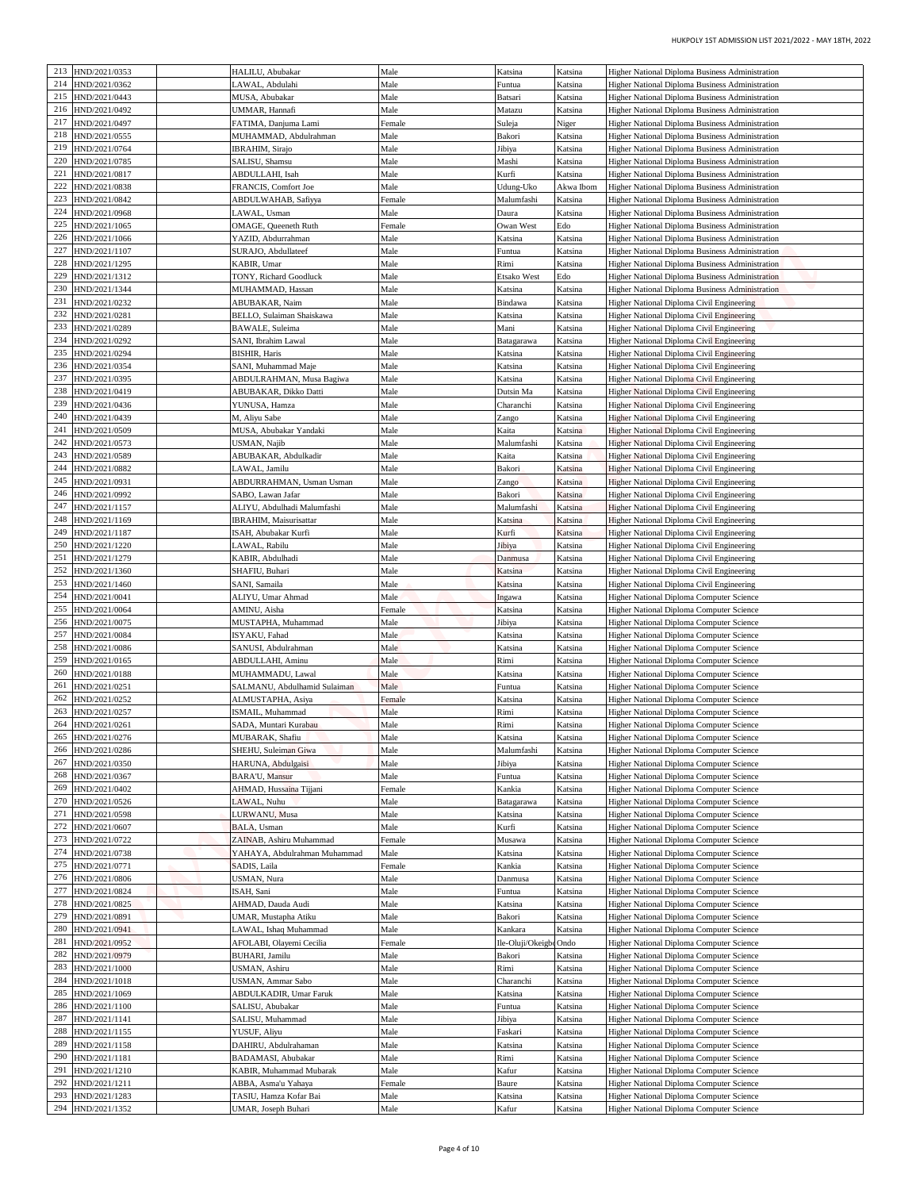| HUKPOLY 1ST ADMISSION LIST 2021/2022 - MAY 18TH, 2022                                              |                    |                        |                |                                                      |                                |            |
|----------------------------------------------------------------------------------------------------|--------------------|------------------------|----------------|------------------------------------------------------|--------------------------------|------------|
| Higher National Diploma Business Administration                                                    | Katsina            | Katsina                | Male           | HALILU, Abubakar                                     | HND/2021/0353                  | 213        |
| Higher National Diploma Business Administration                                                    | Katsina            | Funtua                 | Male           | LAWAL, Abdulahi                                      | HND/2021/0362                  | 214        |
| Higher National Diploma Business Administration                                                    | Katsina            | Batsari                | Male           | MUSA, Abubakar                                       | HND/2021/0443                  | 215        |
| Higher National Diploma Business Administration<br>Higher National Diploma Business Administration | Katsina            | Matazu                 | Male           | UMMAR, Hannafi                                       | HND/2021/0492<br>HND/2021/0497 | 216<br>217 |
| Higher National Diploma Business Administration                                                    | Niger<br>Katsina   | Suleja<br>Bakori       | Female<br>Male | FATIMA, Danjuma Lami<br>MUHAMMAD, Abdulrahman        | HND/2021/0555                  | 218        |
| Higher National Diploma Business Administration                                                    | Katsina            | Jibiya                 | Male           | <b>IBRAHIM, Sirajo</b>                               | HND/2021/0764                  | 219        |
| Higher National Diploma Business Administration                                                    | Katsina            | Mashi                  | Male           | SALISU, Shamsu                                       | HND/2021/0785                  | 220        |
| Higher National Diploma Business Administration                                                    | Katsina            | Kurfi                  | Male           | ABDULLAHI, Isah                                      | HND/2021/0817                  | 221        |
| Higher National Diploma Business Administration                                                    | Akwa Ibom          | Udung-Uko              | Male           | FRANCIS, Comfort Joe                                 | HND/2021/0838                  | 222<br>223 |
| Higher National Diploma Business Administration<br>Higher National Diploma Business Administration | Katsina<br>Katsina | Malumfashi<br>Daura    | Female<br>Male | ABDULWAHAB, Safiyya<br>AWAL, Usman                   | HND/2021/0842<br>HND/2021/0968 | 224        |
| Higher National Diploma Business Administration                                                    | Edo                | Owan West              | Female         | OMAGE, Queeneth Ruth                                 | HND/2021/1065                  | 225        |
| Higher National Diploma Business Administration                                                    | Katsina            | Katsina                | Male           | YAZID, Abdurrahman                                   | HND/2021/1066                  | 226        |
| Higher National Diploma Business Administration                                                    | Katsina            | Funtua                 | Male           | SURAJO, Abdullateef                                  | HND/2021/1107                  | 227        |
| Higher National Diploma Business Administration                                                    | Katsina            | Rimi                   | Male           | KABIR, Umar                                          | HND/2021/1295                  | 228        |
| Higher National Diploma Business Administration<br>Higher National Diploma Business Administration | Edo<br>Katsina     | Etsako West<br>Katsina | Male<br>Male   | TONY, Richard Goodluck<br>MUHAMMAD, Hassan           | HND/2021/1312<br>HND/2021/1344 | 229<br>230 |
| Higher National Diploma Civil Engineering                                                          | Katsina            | Bindawa                | Male           | ABUBAKAR, Naim                                       | HND/2021/0232                  | 231        |
| Higher National Diploma Civil Engineering                                                          | Katsina            | Katsina                | Male           | BELLO, Sulaiman Shaiskawa                            | HND/2021/0281                  | 232        |
| Higher National Diploma Civil Engineering                                                          | Katsina            | Mani                   | Male           | BAWALE, Suleima                                      | HND/2021/0289                  | 233        |
| Higher National Diploma Civil Engineering                                                          | Katsina            | Batagarawa             | Male           | SANI, Ibrahim Lawal                                  | HND/2021/0292                  | 234        |
| <b>Higher National Diploma Civil Engineering</b>                                                   | Katsina            | Katsina                | Male           | <b>BISHIR, Haris</b>                                 | HND/2021/0294                  | 235        |
| Higher National Diploma Civil Engineering<br>Higher National Diploma Civil Engineering             | Katsina<br>Katsina | Katsina<br>Katsina     | Male<br>Male   | SANI, Muhammad Maje<br>ABDULRAHMAN, Musa Bagiwa      | HND/2021/0354<br>HND/2021/0395 | 236<br>237 |
| Higher National Diploma Civil Engineering                                                          | Katsina            | Dutsin Ma              | Male           | ABUBAKAR, Dikko Datti                                | HND/2021/0419                  | 238        |
| Higher National Diploma Civil Engineering                                                          | Katsina            | Charanchi              | Male           | YUNUSA, Hamza                                        | HND/2021/0436                  | 239        |
| Higher National Diploma Civil Engineering                                                          | Katsina            | Zango                  | Male           | M, Aliyu Sabe                                        | HND/2021/0439                  | 240        |
| Higher National Diploma Civil Engineering                                                          | Katsina            | Kaita                  | Male           | MUSA, Abubakar Yandaki                               | HND/2021/0509                  | 241        |
| Higher National Diploma Civil Engineering                                                          | Katsina            | Malumfashi             | Male           | <b>JSMAN</b> , Najib                                 | HND/2021/0573                  | 242<br>243 |
| Higher National Diploma Civil Engineering<br>Higher National Diploma Civil Engineering             | Katsina<br>Katsina | Kaita<br>Bakori        | Male<br>Male   | ABUBAKAR, Abdulkadir<br>AWAL, Jamilu                 | HND/2021/0589<br>HND/2021/0882 | 244        |
| Higher National Diploma Civil Engineering                                                          | Katsina            | Zango                  | Male           | ABDURRAHMAN, Usman Usman                             | HND/2021/0931                  | 245        |
| Higher National Diploma Civil Engineering                                                          | Katsina            | Bakori                 | Male           | SABO, Lawan Jafar                                    | IND/2021/0992                  | 246        |
| Higher National Diploma Civil Engineering                                                          | Katsina            | Malumfashi             | Male           | ALIYU, Abdulhadi Malumfashi                          | HND/2021/1157                  | 247        |
| Higher National Diploma Civil Engineering                                                          | Katsina            | Katsina                | Male           | IBRAHIM, Maisurisattar                               | HND/2021/1169                  | 248        |
| Higher National Diploma Civil Engineering                                                          | Katsina            | Kurfi                  | Male           | ISAH, Abubakar Kurfi                                 | HND/2021/1187                  | 249        |
| Higher National Diploma Civil Engineering                                                          | Katsina            | Jibiya                 | Male           | LAWAL, Rabilu                                        | HND/2021/1220<br>HND/2021/1279 | 250<br>251 |
| Higher National Diploma Civil Engineering<br>Higher National Diploma Civil Engineering             | Katsina<br>Katsina | Danmusa<br>Katsina     | Male<br>Male   | KABIR, Abdulhadi<br>SHAFIU, Buhari                   | HND/2021/1360                  | 252        |
| Higher National Diploma Civil Engineering                                                          | Katsina            | Katsina                | Male           | SANI, Samaila                                        | IND/2021/1460                  | 253        |
| <b>Higher National Diploma Computer Science</b>                                                    | Katsina            | ngawa                  | Male           | ALIYU, Umar Ahmad                                    | HND/2021/0041                  | 254        |
| Higher National Diploma Computer Science                                                           | Katsina            | Katsina                | Female         | AMINU, Aisha                                         | HND/2021/0064                  | 255        |
| Higher National Diploma Computer Science                                                           | Katsina            | Jibiya                 | Male           | MUSTAPHA, Muhammad                                   | HND/2021/0075                  | 256        |
| Higher National Diploma Computer Science                                                           | Katsina            | Katsina                | Male           | ISYAKU, Fahad                                        | 257 HND/2021/0084              |            |
| Higher National Diploma Computer Science<br>Higher National Diploma Computer Science               | Katsina<br>Katsina | Katsina<br>Rimi        | Male<br>Male   | SANUSI, Abdulrahman<br>ABDULLAHI, Aminu              | HND/2021/0086<br>HND/2021/0165 | 258<br>259 |
| Higher National Diploma Computer Science                                                           | Katsina            | Katsina                | Male           | MUHAMMADU, Lawal                                     | HND/2021/0188                  | 260        |
| Higher National Diploma Computer Science                                                           | Katsina            | Funtua                 | Male           | SALMANU, Abdulhamid Sulaiman                         | HND/2021/0251                  | 261        |
| Higher National Diploma Computer Science                                                           | Katsina            | Katsina                | Female         | ALMUSTAPHA, Asiya                                    | HND/2021/0252                  | 262        |
| Higher National Diploma Computer Science                                                           | Katsina            | Rimi                   | Male           | ISMAIL, Muhammad                                     | HND/2021/0257                  | 263        |
| Higher National Diploma Computer Science                                                           | Katsina            | Rimi                   | Male           | SADA, Muntari Kurabau                                | HND/2021/0261                  | 264        |
| Higher National Diploma Computer Science                                                           | Katsina            | Katsina                | Male           | MUBARAK, Shafiu                                      | HND/2021/0276                  | 265        |
| Higher National Diploma Computer Science<br>Higher National Diploma Computer Science               | Katsina<br>Katsina | Malumfashi<br>Jibiya   | Male<br>Male   | SHEHU, Suleiman Giwa<br>HARUNA, Abdulgaisi           | HND/2021/0286<br>HND/2021/0350 | 266<br>267 |
| <b>Higher National Diploma Computer Science</b>                                                    | Katsina            | Funtua                 | Male           | <b>BARA'U, Mansur</b>                                | HND/2021/0367                  | 268        |
| Higher National Diploma Computer Science                                                           | Katsina            | Kankia                 | Female         | AHMAD, Hussaina Tijjani                              | HND/2021/0402                  | 269        |
| Higher National Diploma Computer Science                                                           | Katsina            | Batagarawa             | Male           | LAWAL, Nuhu                                          | HND/2021/0526                  | 270        |
| Higher National Diploma Computer Science                                                           | Katsina            | Katsina                | Male           | LURWANU, Musa                                        | HND/2021/0598                  | 271        |
| Higher National Diploma Computer Science                                                           | Katsina            | Kurfi                  | Male           | BALA, Usman                                          | HND/2021/0607                  | 272        |
| <b>Higher National Diploma Computer Science</b>                                                    | Katsina            | Musawa                 | Female         | ZAINAB, Ashiru Muhammad                              | HND/2021/0722                  | 273<br>274 |
| Higher National Diploma Computer Science<br>Higher National Diploma Computer Science               | Katsina<br>Katsina | Katsina<br>Kankia      | Male<br>Female | YAHAYA, Abdulrahman Muhammad<br><b>SADIS</b> , Laila | HND/2021/0738<br>HND/2021/0771 | 275        |
| Higher National Diploma Computer Science                                                           | Katsina            | Danmusa                | Male           | JSMAN, Nura                                          | HND/2021/0806                  | 276        |
| Higher National Diploma Computer Science                                                           | Katsina            | Funtua                 | Male           | ISAH, Sani                                           | HND/2021/0824                  | 277        |
| Higher National Diploma Computer Science                                                           | Katsina            | Katsina                | Male           | AHMAD, Dauda Audi                                    | HND/2021/0825                  | 278        |
| Higher National Diploma Computer Science                                                           | Katsina            | Bakori                 | Male           | UMAR, Mustapha Atiku                                 | HND/2021/0891                  | 279        |
| Higher National Diploma Computer Science                                                           | Katsina            | Kankara                | Male           | AWAL, Ishaq Muhammad                                 | HND/2021/0941                  | 280        |
| Higher National Diploma Computer Science                                                           |                    | Ile-Oluji/OkeigbeOndo  | Female<br>Male | AFOLABI, Olayemi Cecilia                             | HND/2021/0952                  | 281<br>282 |
| Higher National Diploma Computer Science<br>Higher National Diploma Computer Science               | Katsina<br>Katsina | Bakori<br>Rimi         | Male           | <b>BUHARI</b> , Jamilu<br>USMAN, Ashiru              | HND/2021/0979<br>HND/2021/1000 | 283        |
| Higher National Diploma Computer Science                                                           | Katsina            | Charanchi              | Male           | USMAN, Ammar Sabo                                    | HND/2021/1018                  | 284        |
| Higher National Diploma Computer Science                                                           | Katsina            | Katsina                | Male           | <b>ABDULKADIR, Umar Faruk</b>                        | HND/2021/1069                  | 285        |
| Higher National Diploma Computer Science                                                           | Katsina            | Funtua                 | Male           | SALISU, Abubakar                                     | HND/2021/1100                  | 286        |
| <b>Higher National Diploma Computer Science</b>                                                    | Katsina            | Jibiya                 | Male           | SALISU, Muhammad                                     | HND/2021/1141                  | 287        |
| Higher National Diploma Computer Science                                                           | Katsina            | Faskari                | Male           | YUSUF, Aliyu                                         | HND/2021/1155                  | 288        |
|                                                                                                    | Katsina            | Katsina                | Male           | DAHIRU, Abdulrahaman                                 | HND/2021/1158                  | 289        |
| Higher National Diploma Computer Science                                                           |                    | Rimi                   | Male           | BADAMASI, Abubakar                                   | HND/2021/1181                  | 290        |
| Higher National Diploma Computer Science                                                           | Katsina            |                        |                |                                                      |                                |            |
| Higher National Diploma Computer Science                                                           | Katsina            | Kafur                  | Male           | KABIR, Muhammad Mubarak                              | HND/2021/1210                  | 291        |
| Higher National Diploma Computer Science<br>Higher National Diploma Computer Science               | Katsina<br>Katsina | Baure<br>Katsina       | Female<br>Male | ABBA, Asma'u Yahaya<br>TASIU, Hamza Kofar Bai        | HND/2021/1211<br>HND/2021/1283 | 292<br>293 |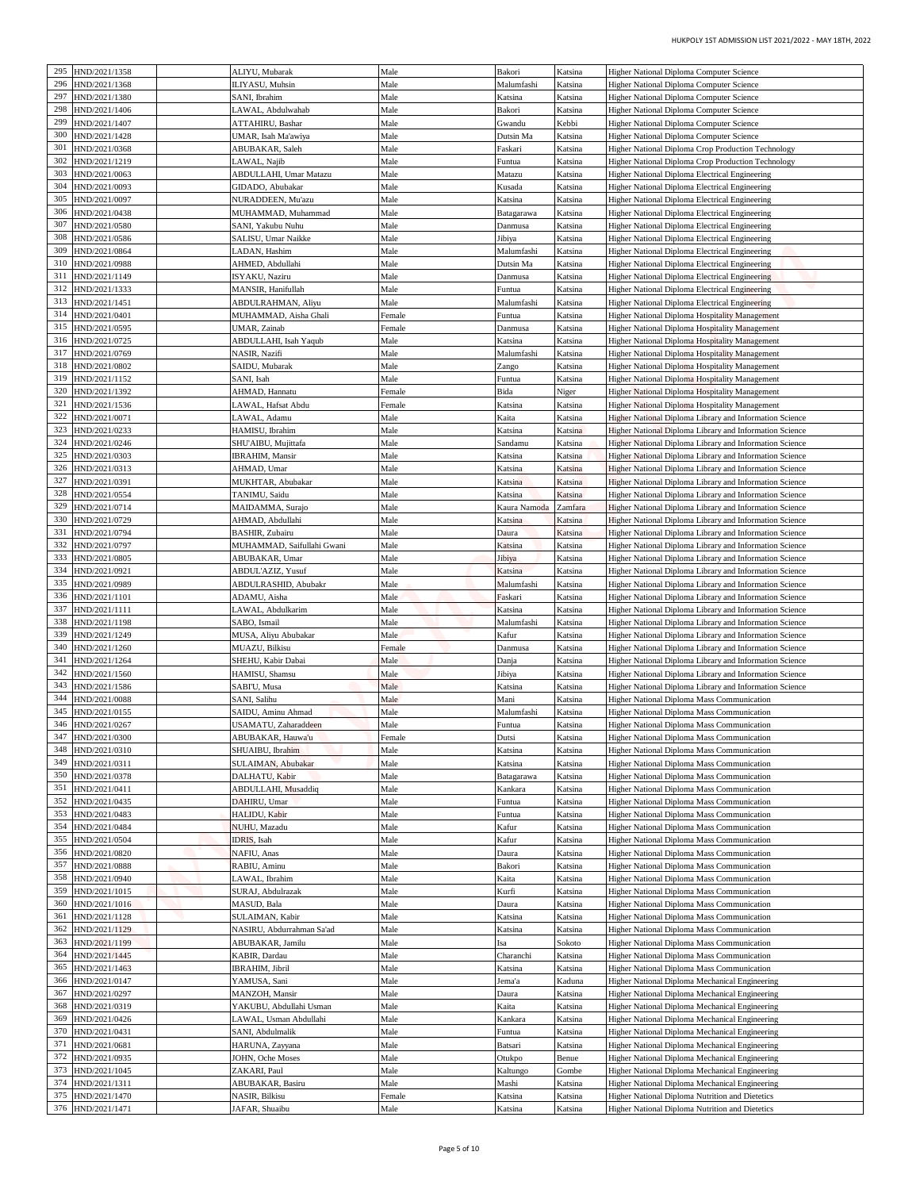| HUKPOLY 1ST ADMISSION LIST 2021/2022 - MAY 18TH, 2022                                                                     |                    |                       |              |                                               |                                |            |
|---------------------------------------------------------------------------------------------------------------------------|--------------------|-----------------------|--------------|-----------------------------------------------|--------------------------------|------------|
| Higher National Diploma Computer Science                                                                                  | Katsina            | Bakori                | Male         | ALIYU, Mubarak                                | HND/2021/1358                  | 295        |
| Higher National Diploma Computer Science                                                                                  | Katsina            | Malumfashi            | Male         | ILIYASU, Muhsin                               | HND/2021/1368                  | 296        |
| Higher National Diploma Computer Science                                                                                  | Katsina<br>Katsina | Katsina<br>Bakori     | Male<br>Male | SANI, Ibrahim                                 | HND/2021/1380<br>HND/2021/1406 | 297<br>298 |
| Higher National Diploma Computer Science<br>Higher National Diploma Computer Science                                      | Kebbi              | Gwandu                | Male         | LAWAL, Abdulwahab<br>ATTAHIRU, Bashar         | HND/2021/1407                  | 299        |
| Higher National Diploma Computer Science                                                                                  | Katsina            | Dutsin Ma             | Male         | UMAR, Isah Ma'awiya                           | HND/2021/1428                  | 300        |
| Higher National Diploma Crop Production Technology                                                                        | Katsina            | Faskari               | Male         | ABUBAKAR, Saleh                               | HND/2021/0368                  | 301        |
| Higher National Diploma Crop Production Technology                                                                        | Katsina            | Funtua                | Male         | LAWAL, Najib                                  | HND/2021/1219                  | 302        |
| Higher National Diploma Electrical Engineering                                                                            | Katsina            | Matazu                | Male         | ABDULLAHI, Umar Matazu                        | HND/2021/0063                  | 303        |
| Higher National Diploma Electrical Engineering<br>Higher National Diploma Electrical Engineering                          | Katsina<br>Katsina | Kusada<br>Katsina     | Male<br>Male | GIDADO, Abubakar<br>NURADDEEN, Mu'azu         | HND/2021/0093<br>HND/2021/0097 | 304<br>305 |
| Higher National Diploma Electrical Engineering                                                                            | Katsina            | Batagarawa            | Male         | MUHAMMAD, Muhammad                            | HND/2021/0438                  | 306        |
| Higher National Diploma Electrical Engineering                                                                            | Katsina            | Danmusa               | Male         | SANI, Yakubu Nuhu                             | HND/2021/0580                  | 307        |
| Higher National Diploma Electrical Engineering                                                                            | Katsina            | Jibiya                | Male         | SALISU, Umar Naikke                           | HND/2021/0586                  | 308        |
| Higher National Diploma Electrical Engineering                                                                            | Katsina            | Malumfashi            | Male         | LADAN, Hashim                                 | IND/2021/0864                  | 309        |
| Higher National Diploma Electrical Engineering                                                                            | Katsina            | Dutsin Ma             | Male         | AHMED, Abdullahi                              | HND/2021/0988<br>HND/2021/1149 | 310<br>311 |
| Higher National Diploma Electrical Engineering<br>Higher National Diploma Electrical Engineering                          | Katsina<br>Katsina | Danmusa<br>Funtua     | Male<br>Male | ISYAKU, Naziru<br>MANSIR, Hanifullah          | HND/2021/1333                  | 312        |
| Higher National Diploma Electrical Engineering                                                                            | Katsina            | Malumfashi            | Male         | ABDULRAHMAN, Aliyu                            | HND/2021/1451                  | 313        |
| Higher National Diploma Hospitality Management                                                                            | Katsina            | Funtua                | Female       | MUHAMMAD, Aisha Ghali                         | HND/2021/0401                  | 314        |
| Higher National Diploma Hospitality Management                                                                            | Katsina            | Danmusa               | Female       | UMAR, Zainab                                  | HND/2021/0595                  | 315        |
| Higher National Diploma Hospitality Management                                                                            | Katsina            | Katsina               | Male         | ABDULLAHI, Isah Yaqub                         | HND/2021/0725                  | 316        |
| <b>Higher National Diploma Hospitality Management</b><br>Higher National Diploma Hospitality Management                   | Katsina<br>Katsina | Malumfashi<br>Zango   | Male<br>Male | NASIR, Nazifi<br>SAIDU, Mubarak               | HND/2021/0769<br>HND/2021/0802 | 317<br>318 |
| Higher National Diploma Hospitality Management                                                                            | Katsina            | Funtua                | Male         | SANI, Isah                                    | HND/2021/1152                  | 319        |
| Higher National Diploma Hospitality Management                                                                            | Niger              | Bida                  | Female       | AHMAD, Hannatu                                | HND/2021/1392                  | 320        |
| Higher National Diploma Hospitality Management                                                                            | Katsina            | Katsina               | Female       | LAWAL, Hafsat Abdu                            | HND/2021/1536                  | 321        |
| Higher National Diploma Library and Information Science                                                                   | Katsina            | Kaita                 | Male         | LAWAL, Adamu                                  | HND/2021/0071                  | 322        |
| Higher National Diploma Library and Information Science<br>Higher National Diploma Library and Information Science        | Katsina<br>Katsina | Katsina<br>Sandamu    | Male<br>Male | HAMISU, Ibrahim<br>SHU'AIBU, Mujittafa        | HND/2021/0233<br>HND/2021/0246 | 323<br>324 |
| <b>Higher National Diploma Library and Information Science</b>                                                            | Katsina            | Katsina               | Male         | <b>IBRAHIM, Mansir</b>                        | HND/2021/0303                  | 325        |
| Higher National Diploma Library and Information Science                                                                   | Katsina            | Katsina               | Male         | AHMAD, Umar                                   | HND/2021/0313                  | 326        |
| Higher National Diploma Library and Information Science                                                                   | Katsina            | Katsina               | Male         | MUKHTAR, Abubakar                             | HND/2021/0391                  | 327        |
| Higher National Diploma Library and Information Science                                                                   | Katsina            | Katsina               | Male         | TANIMU, Saidu                                 | IND/2021/0554                  | 328        |
| <b>Higher National Diploma Library and Information Science</b><br>Higher National Diploma Library and Information Science | Zamfara<br>Katsina | Kaura Namoda          | Male<br>Male | MAIDAMMA, Surajo<br>AHMAD, Abdullahi          | HND/2021/0714<br>HND/2021/0729 | 329<br>330 |
| Higher National Diploma Library and Information Science                                                                   | Katsina            | Katsina<br>Daura      | Male         | BASHIR, Zubairu                               | HND/2021/0794                  | 331        |
| Higher National Diploma Library and Information Science                                                                   | Katsina            | Katsina               | Male         | MUHAMMAD, Saifullahi Gwani                    | HND/2021/0797                  | 332        |
| Higher National Diploma Library and Information Science                                                                   | Katsina            | libiya                | Male         | ABUBAKAR, Umar                                | HND/2021/0805                  | 333        |
| Higher National Diploma Library and Information Science                                                                   | Katsina            | Katsina               | Male         | ABDUL'AZIZ, Yusuf                             | HND/2021/0921                  | 334        |
| Higher National Diploma Library and Information Science                                                                   | Katsina            | Malumfashi            | Male         | ABDULRASHID, Abubakr                          | HND/2021/0989                  | 335<br>336 |
| Higher National Diploma Library and Information Science<br>Higher National Diploma Library and Information Science        | Katsina<br>Katsina | Faskari<br>Katsina    | Male<br>Male | ADAMU, Aisha<br>LAWAL, Abdulkarim             | HND/2021/1101<br>HND/2021/1111 | 337        |
| Higher National Diploma Library and Information Science                                                                   | Katsina            | Malumfashi            | Male         | SABO, Ismail                                  | HND/2021/1198                  | 338        |
| Higher National Diploma Library and Information Science                                                                   | Katsina            | Kafur                 | Male         | MUSA, Aliyu Abubakar                          | 339 HND/2021/1249              |            |
| Higher National Diploma Library and Information Science                                                                   | Katsina            | Danmusa               | Female       | MUAZU, Bilkisu                                | HND/2021/1260                  | 340        |
| Higher National Diploma Library and Information Science                                                                   | Katsina            | Danja                 | Male         | SHEHU, Kabir Dabai                            | 341 HND/2021/1264              |            |
| Higher National Diploma Library and Information Science<br>Higher National Diploma Library and Information Science        | Katsina<br>Katsina | Jibiya<br>Katsina     | Male<br>Male | HAMISU, Shamsu<br>SABI'U, Musa                | HND/2021/1560<br>HND/2021/1586 | 342<br>343 |
| Higher National Diploma Mass Communication                                                                                | Katsina            | Mani                  | Male         | SANI, Salihu                                  | HND/2021/0088                  | 344        |
| Higher National Diploma Mass Communication                                                                                | Katsina            | Malumfashi            | Male         | SAIDU, Aminu Ahmad                            | HND/2021/0155                  | 345        |
| Higher National Diploma Mass Communication                                                                                | Katsina            | Funtua                | Male         | USAMATU, Zaharaddeen                          | HND/2021/0267                  | 346        |
| Higher National Diploma Mass Communication                                                                                | Katsina            | Dutsi                 | Female       | ABUBAKAR, Hauwa'u                             | HND/2021/0300                  | 347        |
| Higher National Diploma Mass Communication                                                                                | Katsina            | Katsina               | Male         | SHUAIBU, Ibrahim                              | HND/2021/0310<br>HND/2021/0311 | 348<br>349 |
| Higher National Diploma Mass Communication<br><b>Higher National Diploma Mass Communication</b>                           | Katsina<br>Katsina | Katsina<br>Batagarawa | Male<br>Male | SULAIMAN, Abubakar<br>DALHATU, Kabir          | HND/2021/0378                  | 350        |
| Higher National Diploma Mass Communication                                                                                | Katsina            | Kankara               | Male         | ABDULLAHI, Musaddiq                           | HND/2021/0411                  | 351        |
| Higher National Diploma Mass Communication                                                                                | Katsina            | Funtua                | Male         | DAHIRU, Umar                                  | HND/2021/0435                  | 352        |
| Higher National Diploma Mass Communication                                                                                | Katsina            | Funtua                | Male         | HALIDU, Kabir                                 | HND/2021/0483                  | 353        |
| Higher National Diploma Mass Communication                                                                                | Katsina            | Kafur                 | Male         | NUHU, Mazadu                                  | HND/2021/0484                  | 354        |
| <b>Higher National Diploma Mass Communication</b>                                                                         | Katsina            | Kafur                 | Male<br>Male | IDRIS, Isah                                   | HND/2021/0504                  | 355<br>356 |
| Higher National Diploma Mass Communication<br>Higher National Diploma Mass Communication                                  | Katsina<br>Katsina | Daura<br>Bakori       | Male         | NAFIU, Anas<br>RABIU, Aminu                   | HND/2021/0820<br>HND/2021/0888 | 357        |
| Higher National Diploma Mass Communication                                                                                | Katsina            | Kaita                 | Male         | LAWAL, Ibrahim                                | HND/2021/0940                  | 358        |
| Higher National Diploma Mass Communication                                                                                | Katsina            | Kurfi                 | Male         | SURAJ, Abdulrazak                             | HND/2021/1015                  | 359        |
| Higher National Diploma Mass Communication                                                                                | Katsina            | Daura                 | Male         | MASUD, Bala                                   | HND/2021/1016                  | 360        |
| Higher National Diploma Mass Communication                                                                                | Katsina            | Katsina               | Male         | SULAIMAN, Kabir                               | HND/2021/1128                  | 361        |
| Higher National Diploma Mass Communication<br>Higher National Diploma Mass Communication                                  | Katsina<br>Sokoto  | Katsina<br>Ísa        | Male<br>Male | NASIRU, Abdurrahman Sa'ad<br>ABUBAKAR, Jamilu | HND/2021/1129<br>HND/2021/1199 | 362<br>363 |
| Higher National Diploma Mass Communication                                                                                | Katsina            | Charanchi             | Male         | KABIR, Dardau                                 | HND/2021/1445                  | 364        |
| Higher National Diploma Mass Communication                                                                                | Katsina            | Katsina               | Male         | IBRAHIM, Jibril                               | HND/2021/1463                  | 365        |
| Higher National Diploma Mechanical Engineering                                                                            | Kaduna             | Jema'a                | Male         | YAMUSA, Sani                                  | HND/2021/0147                  | 366        |
| <b>Higher National Diploma Mechanical Engineering</b>                                                                     | Katsina            | Daura                 | Male         | MANZOH, Mansir                                | HND/2021/0297                  | 367        |
| Higher National Diploma Mechanical Engineering                                                                            | Katsina            | Kaita                 | Male         | YAKUBU, Abdullahi Usman                       | HND/2021/0319                  | 368        |
| Higher National Diploma Mechanical Engineering<br>Higher National Diploma Mechanical Engineering                          | Katsina<br>Katsina | Kankara<br>Funtua     | Male<br>Male | AWAL, Usman Abdullahi<br>SANI, Abdulmalik     | HND/2021/0426<br>HND/2021/0431 | 369<br>370 |
| Higher National Diploma Mechanical Engineering                                                                            | Katsina            | Batsari               | Male         | HARUNA, Zayyana                               | HND/2021/0681                  | 371        |
| Higher National Diploma Mechanical Engineering                                                                            | Benue              | Otukpo                | Male         | JOHN, Oche Moses                              | HND/2021/0935                  | 372        |
| Higher National Diploma Mechanical Engineering                                                                            | Gombe              | Kaltungo              | Male         | ZAKARI, Paul                                  | HND/2021/1045                  | 373        |
| Higher National Diploma Mechanical Engineering                                                                            | Katsina            | Mashi                 | Male         | ABUBAKAR, Basiru                              | HND/2021/1311                  | 374        |
| Higher National Diploma Nutrition and Dietetics                                                                           | Katsina            | Katsina               | Female       | NASIR, Bilkisu                                | HND/2021/1470                  | 375        |
| Higher National Diploma Nutrition and Dietetics                                                                           | Katsina            | Katsina               | Male         | JAFAR, Shuaibu                                | HND/2021/1471                  | 376        |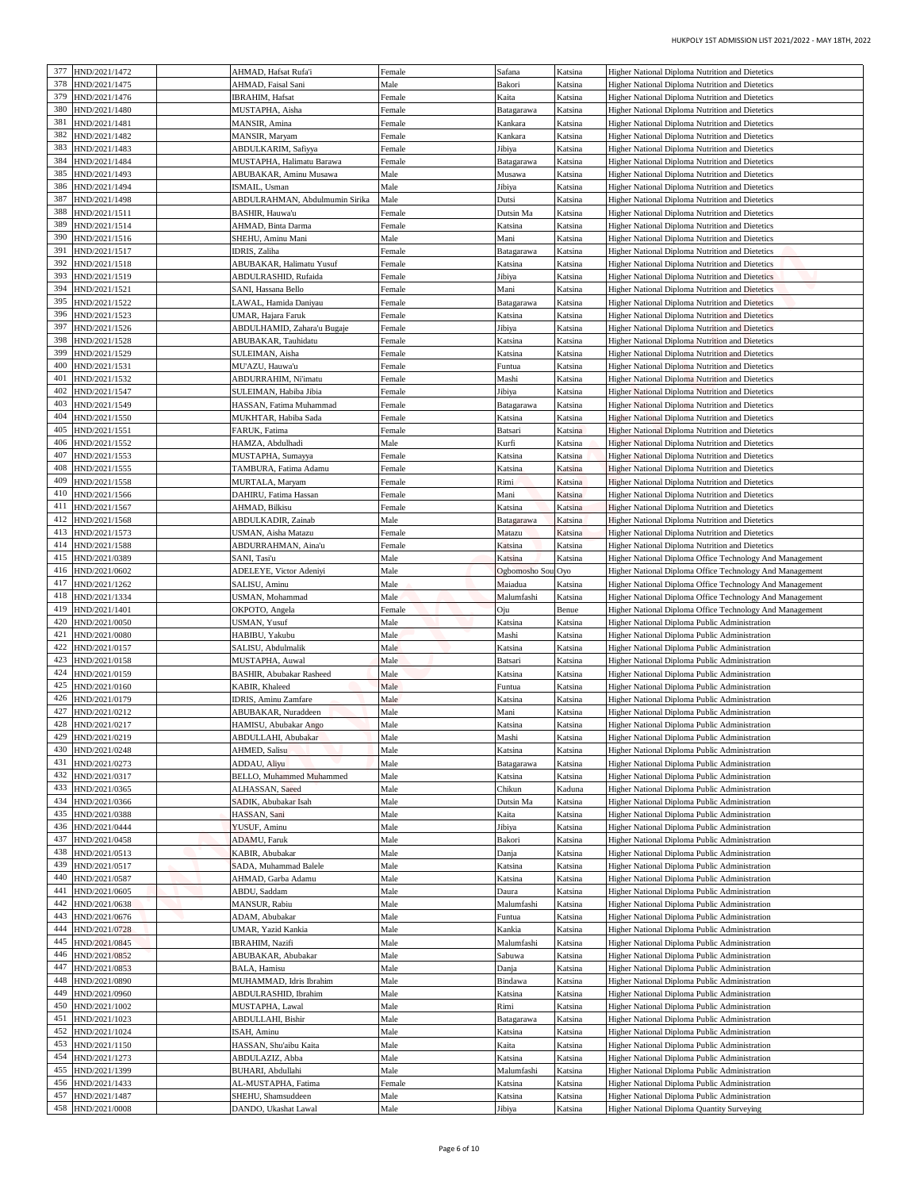| HUKPOLY 1ST ADMISSION LIST 2021/2022 - MAY 18TH, 2022                                                                       |                    |                      |                  |                                                    |                                |
|-----------------------------------------------------------------------------------------------------------------------------|--------------------|----------------------|------------------|----------------------------------------------------|--------------------------------|
| Higher National Diploma Nutrition and Dietetics                                                                             | Katsina            | Safana               | Female           | AHMAD, Hafsat Rufa'i                               | HND/2021/1472                  |
| Higher National Diploma Nutrition and Dietetics                                                                             | Katsina            | Bakori               | Male             | AHMAD, Faisal Sani                                 | HND/2021/1475                  |
| Higher National Diploma Nutrition and Dietetics                                                                             | Katsina            | Kaita                | Female           | <b>IBRAHIM, Hafsat</b>                             | HND/2021/1476                  |
| Higher National Diploma Nutrition and Dietetics<br>Higher National Diploma Nutrition and Dietetics                          | Katsina<br>Katsina | Batagarawa           | Female           | MUSTAPHA, Aisha<br>MANSIR, Amina                   | HND/2021/1480<br>HND/2021/1481 |
| Higher National Diploma Nutrition and Dietetics                                                                             | Katsina            | Kankara<br>Kankara   | Female<br>Female | MANSIR, Maryam                                     | HND/2021/1482                  |
| Higher National Diploma Nutrition and Dietetics                                                                             | Katsina            | Jibiya               | Female           | ABDULKARIM, Safiyya                                | HND/2021/1483                  |
| Higher National Diploma Nutrition and Dietetics                                                                             | Katsina            | Batagarawa           | Female           | MUSTAPHA, Halimatu Barawa                          | HND/2021/1484                  |
| Higher National Diploma Nutrition and Dietetics                                                                             | Katsina            | Musawa               | Male             | ABUBAKAR, Aminu Musawa                             | HND/2021/1493                  |
| Higher National Diploma Nutrition and Dietetics                                                                             | Katsina            | Jibiya               | Male             | ISMAIL, Usman<br>ABDULRAHMAN, Abdulmumin Sirika    | HND/2021/1494<br>HND/2021/1498 |
| Higher National Diploma Nutrition and Dietetics<br><b>Higher National Diploma Nutrition and Dietetics</b>                   | Katsina<br>Katsina | Dutsi<br>Dutsin Ma   | Male<br>Female   | BASHIR, Hauwa'u                                    | HND/2021/1511                  |
| Higher National Diploma Nutrition and Dietetics                                                                             | Katsina            | Katsina              | Female           | AHMAD, Binta Darma                                 | HND/2021/1514                  |
| Higher National Diploma Nutrition and Dietetics                                                                             | Katsina            | Mani                 | Male             | SHEHU, Aminu Mani                                  | HND/2021/1516                  |
| Higher National Diploma Nutrition and Dietetics                                                                             | Katsina            | Batagarawa           | Female           | <b>IDRIS</b> , Zaliha                              | HND/2021/1517                  |
| Higher National Diploma Nutrition and Dietetics                                                                             | Katsina            | Katsina              | Female           | ABUBAKAR, Halimatu Yusuf                           | HND/2021/1518                  |
| Higher National Diploma Nutrition and Dietetics<br>Higher National Diploma Nutrition and Dietetics                          | Katsina<br>Katsina | Jibiya<br>Mani       | Female<br>Female | ABDULRASHID, Rufaida<br>SANI, Hassana Bello        | HND/2021/1519<br>HND/2021/1521 |
| Higher National Diploma Nutrition and Dietetics                                                                             | Katsina            | Batagarawa           | Female           | AWAL, Hamida Daniyau                               | HND/2021/1522                  |
| Higher National Diploma Nutrition and Dietetics                                                                             | Katsina            | Katsina              | Female           | UMAR, Hajara Faruk                                 | HND/2021/1523                  |
| Higher National Diploma Nutrition and Dietetics                                                                             | Katsina            | Jibiya               | Female           | ABDULHAMID, Zahara'u Bugaje                        | HND/2021/1526                  |
| Higher National Diploma Nutrition and Dietetics                                                                             | Katsina            | Katsina              | Female           | ABUBAKAR, Tauhidatu                                | HND/2021/1528                  |
| <b>Higher National Diploma Nutrition and Dietetics</b><br>Higher National Diploma Nutrition and Dietetics                   | Katsina<br>Katsina | Katsina              | Female<br>Female | SULEIMAN, Aisha<br>MU'AZU, Hauwa'u                 | HND/2021/1529<br>HND/2021/1531 |
| Higher National Diploma Nutrition and Dietetics                                                                             | Katsina            | Funtua<br>Mashi      | Female           | ABDURRAHIM, Ni'imatu                               | HND/2021/1532                  |
| Higher National Diploma Nutrition and Dietetics                                                                             | Katsina            | Jibiya               | Female           | SULEIMAN, Habiba Jibia                             | HND/2021/1547                  |
| Higher National Diploma Nutrition and Dietetics                                                                             | Katsina            | Batagarawa           | Female           | HASSAN, Fatima Muhammad                            | HND/2021/1549                  |
| Higher National Diploma Nutrition and Dietetics                                                                             | Katsina            | Katsina              | Female           | MUKHTAR, Habiba Sada                               | HND/2021/1550                  |
| Higher National Diploma Nutrition and Dietetics                                                                             | Katsina            | Batsari              | Female           | FARUK, Fatima                                      | HND/2021/1551                  |
| Higher National Diploma Nutrition and Dietetics<br><b>Higher National Diploma Nutrition and Dietetics</b>                   | Katsina<br>Katsina | Kurfi<br>Katsina     | Male<br>Female   | HAMZA, Abdulhadi<br>MUSTAPHA, Sumayya              | HND/2021/1552<br>HND/2021/1553 |
| Higher National Diploma Nutrition and Dietetics                                                                             | Katsina            | Katsina              | Female           | TAMBURA, Fatima Adamu                              | HND/2021/1555                  |
| Higher National Diploma Nutrition and Dietetics                                                                             | Katsina            | Rimi                 | Female           | MURTALA, Maryam                                    | HND/2021/1558                  |
| Higher National Diploma Nutrition and Dietetics                                                                             | Katsina            | Mani                 | Female           | DAHIRU, Fatima Hassan                              | IND/2021/1566                  |
| <b>Higher National Diploma Nutrition and Dietetics</b>                                                                      | Katsina            | Katsina              | Female           | AHMAD, Bilkisu                                     | HND/2021/1567                  |
| Higher National Diploma Nutrition and Dietetics<br>Higher National Diploma Nutrition and Dietetics                          | Katsina<br>Katsina | Batagarawa<br>Matazu | Male<br>Female   | ABDULKADIR, Zainab<br>USMAN, Aisha Matazu          | HND/2021/1568<br>HND/2021/1573 |
| Higher National Diploma Nutrition and Dietetics                                                                             | Katsina            | Katsina              | Female           | ABDURRAHMAN, Aina'u                                | HND/2021/1588                  |
| Higher National Diploma Office Technology And Management                                                                    | Katsina            | atsina               | Male             | SANI, Tasi'u                                       | HND/2021/0389                  |
| Higher National Diploma Office Technology And Management                                                                    | 1 Oyo              | Ogbomosho Sou        | Male             | ADELEYE, Victor Adeniyi                            | HND/2021/0602                  |
| Higher National Diploma Office Technology And Management                                                                    | Katsina            | Maiadua              | Male             | SALISU, Aminu                                      | IND/2021/1262                  |
| <b>Higher National Diploma Office Technology And Management</b><br>Higher National Diploma Office Technology And Management | Katsina            | Malumfashi           | Male             | USMAN, Mohammad                                    | HND/2021/1334<br>HND/2021/1401 |
| Higher National Diploma Public Administration                                                                               | Benue<br>Katsina   | Эiu<br>Katsina       | Female<br>Male   | OKPOTO, Angela<br>USMAN, Yusuf                     | HND/2021/0050                  |
| Higher National Diploma Public Administration                                                                               | Katsina            | Mashi                | Male             | HABIBU, Yakubu                                     | 421 HND/2021/0080              |
| Higher National Diploma Public Administration                                                                               | Katsina            | Katsina              | Male             | SALISU, Abdulmalik                                 | HND/2021/0157                  |
| Higher National Diploma Public Administration                                                                               | Katsina            | Batsari              | Male             | MUSTAPHA, Auwal                                    | HND/2021/0158                  |
| Higher National Diploma Public Administration                                                                               | Katsina            | Katsina              | Male             | <b>BASHIR, Abubakar Rasheed</b>                    | HND/2021/0159                  |
| Higher National Diploma Public Administration<br>Higher National Diploma Public Administration                              | Katsina<br>Katsina | Funtua<br>Katsina    | Male<br>Male     | KABIR, Khaleed<br>IDRIS, Aminu Zamfare             | HND/2021/0160<br>HND/2021/0179 |
| Higher National Diploma Public Administration                                                                               | Katsina            | Mani                 | Male             | ABUBAKAR, Nuraddeen                                | HND/2021/0212                  |
| Higher National Diploma Public Administration                                                                               | Katsina            | Katsina              | Male             | HAMISU, Abubakar Ango                              | HND/2021/0217                  |
| Higher National Diploma Public Administration                                                                               | Katsina            | Mashi                | Male             | ABDULLAHI, Abubakar                                | HND/2021/0219                  |
| Higher National Diploma Public Administration                                                                               | Katsina            | Katsina              | Male             | AHMED, Salisu                                      | HND/2021/0248                  |
| Higher National Diploma Public Administration                                                                               | Katsina            | Batagarawa           | Male             | ADDAU, Aliyu                                       | HND/2021/0273                  |
| <b>Higher National Diploma Public Administration</b><br>Higher National Diploma Public Administration                       | Katsina<br>Kaduna  | Katsina<br>Chikun    | Male<br>Male     | <b>BELLO, Muhammed Muhammed</b><br>ALHASSAN, Saeed | HND/2021/0317<br>HND/2021/0365 |
| Higher National Diploma Public Administration                                                                               | Katsina            | Dutsin Ma            | Male             | SADIK, Abubakar Isah                               | HND/2021/0366                  |
| Higher National Diploma Public Administration                                                                               | Katsina            | Kaita                | Male             | HASSAN, Sani                                       | HND/2021/0388                  |
| Higher National Diploma Public Administration                                                                               | Katsina            | Jibiya               | Male             | YUSUF, Aminu                                       | HND/2021/0444                  |
| <b>Higher National Diploma Public Administration</b>                                                                        | Katsina            | Bakori               | Male             | ADAMU, Faruk                                       | HND/2021/0458                  |
| Higher National Diploma Public Administration                                                                               | Katsina<br>Katsina | Danja                | Male<br>Male     | KABIR, Abubakar                                    | HND/2021/0513<br>HND/2021/0517 |
| Higher National Diploma Public Administration<br>Higher National Diploma Public Administration                              | Katsina            | Katsina<br>Katsina   | Male             | SADA, Muhammad Balele<br>AHMAD, Garba Adamu        | HND/2021/0587                  |
| Higher National Diploma Public Administration                                                                               | Katsina            | Daura                | Male             | ABDU, Saddam                                       | HND/2021/0605                  |
| Higher National Diploma Public Administration                                                                               | Katsina            | Malumfashi           | Male             | MANSUR, Rabiu                                      | HND/2021/0638                  |
| Higher National Diploma Public Administration                                                                               | Katsina            | Funtua               | Male             | ADAM, Abubakar                                     | HND/2021/0676                  |
| <b>Higher National Diploma Public Administration</b>                                                                        | Katsina            | Kankia               | Male             | UMAR, Yazid Kankia                                 | HND/2021/0728                  |
| Higher National Diploma Public Administration<br>Higher National Diploma Public Administration                              | Katsina<br>Katsina | Malumfashi<br>Sabuwa | Male<br>Male     | <b>IBRAHIM, Nazifi</b><br>ABUBAKAR, Abubakar       | HND/2021/0845<br>HND/2021/0852 |
| Higher National Diploma Public Administration                                                                               | Katsina            | Danja                | Male             | BALA, Hamisu                                       | HND/2021/0853                  |
| Higher National Diploma Public Administration                                                                               | Katsina            | Bindawa              | Male             | MUHAMMAD, Idris Ibrahim                            | IND/2021/0890                  |
| <b>Higher National Diploma Public Administration</b>                                                                        | Katsina            | Katsina              | Male             | ABDULRASHID, Ibrahim                               | HND/2021/0960                  |
| Higher National Diploma Public Administration                                                                               | Katsina            | Rimi                 | Male             | MUSTAPHA, Lawal                                    | HND/2021/1002                  |
| Higher National Diploma Public Administration                                                                               | Katsina            | Batagarawa           | Male             | ABDULLAHI, Bishir                                  | HND/2021/1023                  |
| Higher National Diploma Public Administration                                                                               | Katsina            | Katsina              | Male             | ISAH, Aminu                                        | HND/2021/1024<br>HND/2021/1150 |
| Higher National Diploma Public Administration<br>Higher National Diploma Public Administration                              | Katsina<br>Katsina | Kaita<br>Katsina     | Male<br>Male     | HASSAN, Shu'aibu Kaita<br>ABDULAZIZ, Abba          | HND/2021/1273                  |
| Higher National Diploma Public Administration                                                                               | Katsina            | Malumfashi           | Male             | BUHARI, Abdullahi                                  | HND/2021/1399                  |
| Higher National Diploma Public Administration                                                                               | Katsina            | Katsina              | Female           | AL-MUSTAPHA, Fatima                                | HND/2021/1433                  |
|                                                                                                                             | Katsina            | Katsina              | Male             | SHEHU, Shamsuddeen                                 | HND/2021/1487                  |
| Higher National Diploma Public Administration                                                                               |                    |                      |                  |                                                    |                                |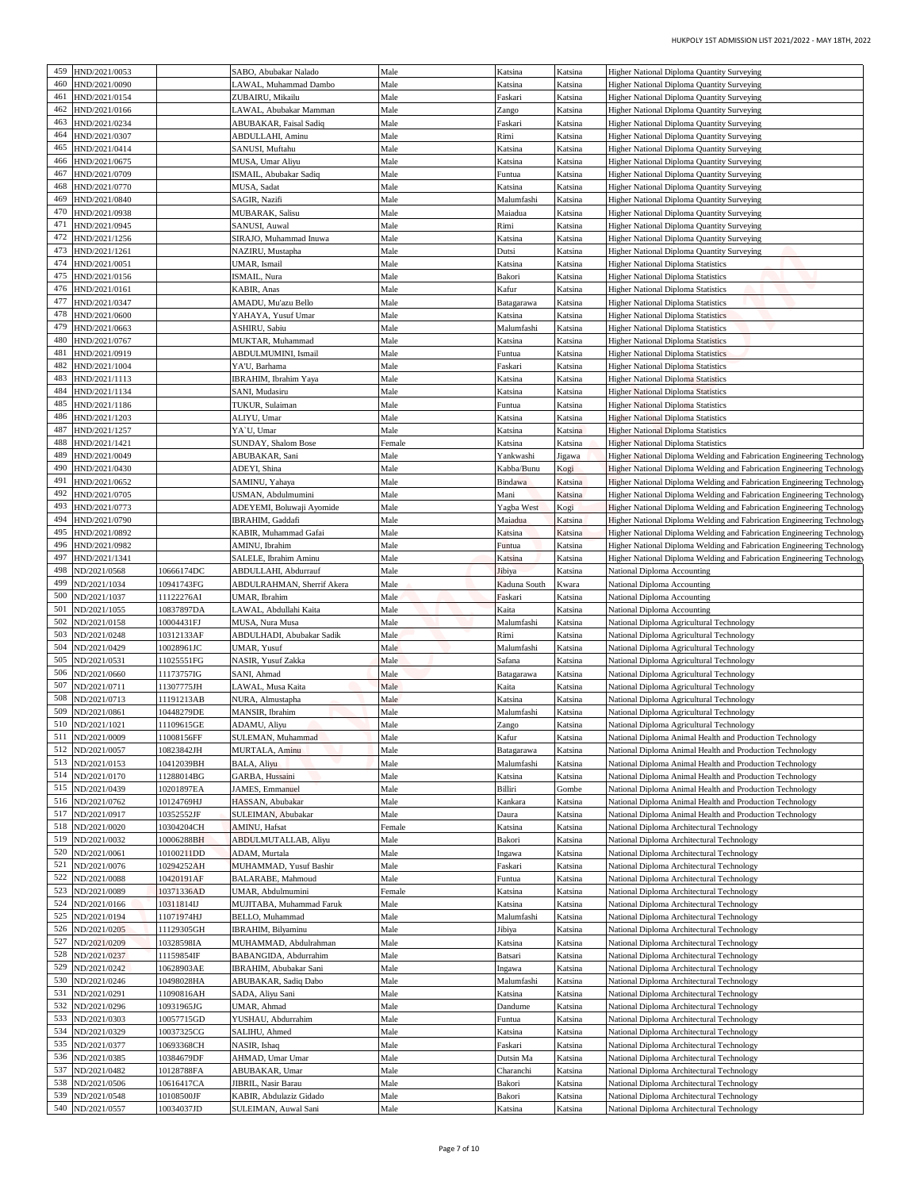| <b>Higher National Diploma Quantity Surveying</b>                                                                                                | Katsina            | Katsina               | Male         | SABO, Abubakar Nalado                          |                          | HND/2021/0053                    | 459        |
|--------------------------------------------------------------------------------------------------------------------------------------------------|--------------------|-----------------------|--------------|------------------------------------------------|--------------------------|----------------------------------|------------|
| Higher National Diploma Quantity Surveying                                                                                                       | Katsina            | Katsina               | Male         | LAWAL, Muhammad Dambo                          |                          | HND/2021/0090                    | 460        |
| Higher National Diploma Quantity Surveying                                                                                                       | Katsina            | Faskari               | Male         | ZUBAIRU, Mikailu                               |                          | IND/2021/0154                    | 461        |
| <b>Higher National Diploma Quantity Surveying</b>                                                                                                | Katsina            | Zango                 | Male         | LAWAL, Abubakar Mamman                         |                          | HND/2021/0166                    | 462        |
| Higher National Diploma Quantity Surveying                                                                                                       | Katsina            | Faskari               | Male         | ABUBAKAR, Faisal Sadiq                         |                          | HND/2021/0234                    | 463        |
| Higher National Diploma Quantity Surveying<br>Higher National Diploma Quantity Surveying                                                         | Katsina<br>Katsina | Rimi<br>Katsina       | Male<br>Male | ABDULLAHI, Aminu<br>SANUSI, Muftahu            |                          | HND/2021/0307<br>HND/2021/0414   | 464<br>465 |
| Higher National Diploma Quantity Surveying                                                                                                       | Katsina            | Katsina               | Male         | MUSA, Umar Aliyu                               |                          | HND/2021/0675                    | 466        |
| Higher National Diploma Quantity Surveying                                                                                                       | Katsina            | Funtua                | Male         | ISMAIL, Abubakar Sadiq                         |                          | HND/2021/0709                    | 467        |
| Higher National Diploma Quantity Surveying                                                                                                       | Katsina            | Katsina               | Male         | MUSA, Sadat                                    |                          | HND/2021/0770                    | 468        |
| Higher National Diploma Quantity Surveying                                                                                                       | Katsina            | Malumfashi            | Male         | SAGIR, Nazifi                                  |                          | HND/2021/0840                    | 469        |
| Higher National Diploma Quantity Surveying                                                                                                       | Katsina<br>Katsina | Maiadua<br>Rimi       | Male<br>Male | MUBARAK, Salisu<br>SANUSI, Auwal               |                          | HND/2021/0938<br>HND/2021/0945   | 470<br>471 |
| Higher National Diploma Quantity Surveying<br>Higher National Diploma Quantity Surveying                                                         | Katsina            | Katsina               | Male         | SIRAJO, Muhammad Inuwa                         |                          | HND/2021/1256                    | 472        |
| <b>Higher National Diploma Quantity Surveying</b>                                                                                                | Katsina            | Dutsi                 | Male         | NAZIRU, Mustapha                               |                          | IND/2021/1261                    | 473        |
| <b>Higher National Diploma Statistics</b>                                                                                                        | Katsina            | Katsina               | Male         | UMAR, Ismail                                   |                          | HND/2021/0051                    | 474        |
| Higher National Diploma Statistics                                                                                                               | Katsina            | Bakori                | Male         | ISMAIL, Nura                                   |                          | HND/2021/0156                    | 475        |
| <b>Higher National Diploma Statistics</b>                                                                                                        | Katsina            | Kafur                 | Male         | KABIR, Anas                                    |                          | HND/2021/0161<br>HND/2021/0347   | 476<br>477 |
| <b>Higher National Diploma Statistics</b><br><b>Higher National Diploma Statistics</b>                                                           | Katsina<br>Katsina | Batagarawa<br>Katsina | Male<br>Male | AMADU, Mu'azu Bello<br>YAHAYA, Yusuf Umar      |                          | HND/2021/0600                    | 478        |
| <b>Higher National Diploma Statistics</b>                                                                                                        | Katsina            | Malumfashi            | Male         | ASHIRU, Sabiu                                  |                          | HND/2021/0663                    | 479        |
| <b>Higher National Diploma Statistics</b>                                                                                                        | Katsina            | Katsina               | Male         | MUKTAR, Muhammad                               |                          | IND/2021/0767                    | 480        |
| <b>Higher National Diploma Statistics</b>                                                                                                        | Katsina            | Funtua                | Male         | ABDULMUMINI, Ismail                            |                          | HND/2021/0919                    | 481        |
| <b>Higher National Diploma Statistics</b>                                                                                                        | Katsina            | Faskari               | Male         | YA'U, Barhama                                  |                          | HND/2021/1004                    | 482        |
| <b>Higher National Diploma Statistics</b>                                                                                                        | Katsina            | Katsina               | Male         | IBRAHIM, Ibrahim Yaya                          |                          | HND/2021/1113                    | 483        |
| <b>Higher National Diploma Statistics</b>                                                                                                        | Katsina            | Katsina               | Male         | SANI, Mudasiru                                 |                          | HND/2021/1134                    | 484        |
| <b>Higher National Diploma Statistics</b>                                                                                                        | Katsina            | Funtua                | Male         | TUKUR, Sulaiman                                |                          | HND/2021/1186                    | 485<br>486 |
| <b>Higher National Diploma Statistics</b><br><b>Higher National Diploma Statistics</b>                                                           | Katsina<br>Katsina | Katsina<br>Katsina    | Male<br>Male | ALIYU, Umar<br>YA'U, Umar                      |                          | HND/2021/1203<br>HND/2021/1257   | 487        |
| <b>Higher National Diploma Statistics</b>                                                                                                        | Katsina            | Katsina               | Female       | SUNDAY, Shalom Bose                            |                          | HND/2021/1421                    | 488        |
| Higher National Diploma Welding and Fabrication Engineering Technology                                                                           | ligawa             | Yankwashi             | Male         | ABUBAKAR, Sani                                 |                          | HND/2021/0049                    | 489        |
| Higher National Diploma Welding and Fabrication Engineering Technology                                                                           | Kogi               | Kabba/Bunu            | Male         | ADEYI, Shina                                   |                          | HND/2021/0430                    | 490        |
| Higher National Diploma Welding and Fabrication Engineering Technology                                                                           | Katsina            | Bindawa               | Male         | SAMINU, Yahaya                                 |                          | HND/2021/0652                    | 491        |
| Higher National Diploma Welding and Fabrication Engineering Technology                                                                           | Katsina            | Mani                  | Male         | USMAN, Abdulmumini                             |                          | IND/2021/0705                    | 492        |
| Higher National Diploma Welding and Fabrication Engineering Technology                                                                           | Kogi               | Yagba West            | Male         | ADEYEMI, Boluwaji Ayomide                      |                          | HND/2021/0773<br>HND/2021/0790   | 493<br>494 |
| Higher National Diploma Welding and Fabrication Engineering Technology<br>Higher National Diploma Welding and Fabrication Engineering Technology | Katsina<br>Katsina | Maiadua<br>Katsina    | Male<br>Male | IBRAHIM, Gaddafi<br>KABIR, Muhammad Gafai      |                          | HND/2021/0892                    | 495        |
| Higher National Diploma Welding and Fabrication Engineering Technology                                                                           | Katsina            | Funtua                | Male         | AMINU, Ibrahim                                 |                          | HND/2021/0982                    | 496        |
| Higher National Diploma Welding and Fabrication Engineering Technology                                                                           | Katsina            | <b>Catsina</b>        | Male         | SALELE, Ibrahim Aminu                          |                          | HND/2021/1341                    | 497        |
| National Diploma Accounting                                                                                                                      | Katsina            | Jibiya                | Male         | ABDULLAHI, Abdurrauf                           | 10666174DC               | ND/2021/0568                     | 498        |
| National Diploma Accounting                                                                                                                      | Kwara              | Kaduna South          | Male         | ABDULRAHMAN, Sherrif Akera                     | 10941743FG               | ND/2021/1034                     | 499        |
| National Diploma Accounting                                                                                                                      | Katsina            | Faskari               | Male         | UMAR, Ibrahim                                  | 1122276AI                | VD/2021/1037                     | 500        |
| <b>National Diploma Accounting</b>                                                                                                               | Katsina            | Kaita                 | Male         | LAWAL, Abdullahi Kaita                         | 10837897DA               | ND/2021/1055                     | 501<br>502 |
| National Diploma Agricultural Technology                                                                                                         | Katsina<br>Katsina | Malumfashi<br>Rimi    | Male<br>Male | MUSA, Nura Musa<br>ABDULHADI, Abubakar Sadik   | 10004431FJ<br>10312133AF | ND/2021/0158<br>503 ND/2021/0248 |            |
| National Diploma Agricultural Technology<br>National Diploma Agricultural Technology                                                             | Katsina            | Malumfashi            | Male         | UMAR, Yusuf                                    | 10028961JC               | ND/2021/0429                     | 504        |
| National Diploma Agricultural Technology                                                                                                         | Katsina            | Safana                | Male         | NASIR, Yusuf Zakka                             | 11025551FG               | ND/2021/0531                     | 505        |
| National Diploma Agricultural Technology                                                                                                         | Katsina            | Batagarawa            | Male         | SANI, Ahmad                                    | 11173757IG               | ND/2021/0660                     | 506        |
| National Diploma Agricultural Technology                                                                                                         | Katsina            | Kaita                 | Male         | LAWAL, Musa Kaita                              | 1307775JH                | ND/2021/0711                     | 507        |
| National Diploma Agricultural Technology                                                                                                         | Katsina            | Katsina               | Male         | NURA, Almustapha                               | 11191213AB               | ND/2021/0713                     | 508        |
| National Diploma Agricultural Technology                                                                                                         | Katsina            | Malumfashi            | Male         | MANSIR, Ibrahim                                | 10448279DE               | ND/2021/0861<br>ND/2021/1021     | 509<br>510 |
| National Diploma Agricultural Technology<br>National Diploma Animal Health and Production Technology                                             | Katsina<br>Katsina | Zango<br>Kafur        | Male<br>Male | ADAMU, Aliyu<br>SULEMAN, Muhammad              | 11109615GE<br>1008156FF  | ND/2021/0009                     | 511        |
| National Diploma Animal Health and Production Technology                                                                                         | Katsina            | Batagarawa            | Male         | MURTALA, Aminu                                 | 10823842JH               | ND/2021/0057                     | 512        |
| National Diploma Animal Health and Production Technology                                                                                         | Katsina            | Malumfashi            | Male         | BALA, Aliyu                                    | 0412039BH                | ND/2021/0153                     | 513        |
| National Diploma Animal Health and Production Technology                                                                                         | Katsina            | Katsina               | Male         | GARBA, Hussaini                                | 1288014BG                | ND/2021/0170                     | 514        |
| National Diploma Animal Health and Production Technology                                                                                         | Gombe              | Billiri               | Male         | JAMES, Emmanuel                                | 10201897EA               | ND/2021/0439                     | 515        |
| National Diploma Animal Health and Production Technology                                                                                         | Katsina            | Kankara               | Male         | HASSAN, Abubakar                               | 10124769HJ               | ND/2021/0762                     | 516        |
| National Diploma Animal Health and Production Technology                                                                                         | Katsina            | Daura                 | Male         | SULEIMAN, Abubakar                             | 10352552JF               | ND/2021/0917                     | 517        |
| National Diploma Architectural Technology                                                                                                        | Katsina            | Katsina               | Female       | AMINU, Hafsat                                  | 10304204CH               | ND/2021/0020<br>ND/2021/0032     | 518<br>519 |
| National Diploma Architectural Technology<br>National Diploma Architectural Technology                                                           | Katsina<br>Katsina | Bakori<br>Ingawa      | Male<br>Male | ABDULMUTALLAB, Aliyu<br>ADAM, Murtala          | 0006288BH<br>10100211DD  | ND/2021/0061                     | 520        |
| National Diploma Architectural Technology                                                                                                        | Katsina            | Faskari               | Male         | MUHAMMAD, Yusuf Bashir                         | 0294252AH                | ND/2021/0076                     | 521        |
| National Diploma Architectural Technology                                                                                                        | Katsina            | Funtua                | Male         | BALARABE, Mahmoud                              | 10420191AF               | ND/2021/0088                     | 522        |
| National Diploma Architectural Technology                                                                                                        | Katsina            | Katsina               | Female       | UMAR, Abdulmumini                              | 10371336AD               | ND/2021/0089                     | 523        |
| National Diploma Architectural Technology                                                                                                        | Katsina            | Katsina               | Male         | MUJITABA, Muhammad Faruk                       | 10311814 <b>IJ</b>       | ND/2021/0166                     | 524        |
| National Diploma Architectural Technology                                                                                                        | Katsina            | Malumfashi            | Male         | BELLO, Muhammad                                | 1071974HJ                | ND/2021/0194                     | 525        |
| National Diploma Architectural Technology                                                                                                        | Katsina<br>Katsina | Jibiya                | Male<br>Male | IBRAHIM, Bilyaminu                             | 1129305GH                | ND/2021/0205                     | 526<br>527 |
| National Diploma Architectural Technology<br>National Diploma Architectural Technology                                                           | Katsina            | Katsina<br>Batsari    | Male         | MUHAMMAD, Abdulrahman<br>BABANGIDA, Abdurrahim | 10328598IA<br>11159854IF | ND/2021/0209<br>ND/2021/0237     | 528        |
|                                                                                                                                                  | Katsina            | Ingawa                | Male         | IBRAHIM, Abubakar Sani                         | 10628903AE               | ND/2021/0242                     | 529        |
|                                                                                                                                                  | Katsina            | Malumfashi            | Male         | ABUBAKAR, Sadiq Dabo                           | 10498028HA               | ND/2021/0246                     | 530        |
| National Diploma Architectural Technology<br>National Diploma Architectural Technology                                                           | Katsina            | Katsina               | Male         | SADA, Aliyu Sani                               | 1090816AH                | ND/2021/0291                     | 531        |
| National Diploma Architectural Technology                                                                                                        |                    | Dandume               | Male         | UMAR, Ahmad                                    | 10931965JG               | ND/2021/0296                     | 532        |
| National Diploma Architectural Technology                                                                                                        | Katsina            | Funtua                | Male         | YUSHAU, Abdurrahim                             | 10057715GD               | ND/2021/0303                     | 533        |
| National Diploma Architectural Technology                                                                                                        | Katsina            |                       |              |                                                | 10037325CG               | ND/2021/0329                     | 534        |
| National Diploma Architectural Technology                                                                                                        | Katsina            | Katsina               | Male         | SALIHU, Ahmed                                  |                          |                                  |            |
| National Diploma Architectural Technology                                                                                                        | Katsina            | Faskari               | Male         | NASIR, Ishaq                                   | 10693368CH               | ND/2021/0377                     | 535        |
| National Diploma Architectural Technology                                                                                                        | Katsina            | Dutsin Ma             | Male         | AHMAD, Umar Umar                               | 10384679DF               | ND/2021/0385                     | 536        |
| National Diploma Architectural Technology                                                                                                        | Katsina            | Charanchi             | Male         | ABUBAKAR, Umar                                 | 10128788FA               | ND/2021/0482                     | 537        |
| National Diploma Architectural Technology<br>National Diploma Architectural Technology                                                           | Katsina<br>Katsina | Bakori<br>Bakori      | Male<br>Male | JIBRIL, Nasir Barau<br>KABIR, Abdulaziz Gidado | 10616417CA<br>10108500JF | ND/2021/0506<br>ND/2021/0548     | 538<br>539 |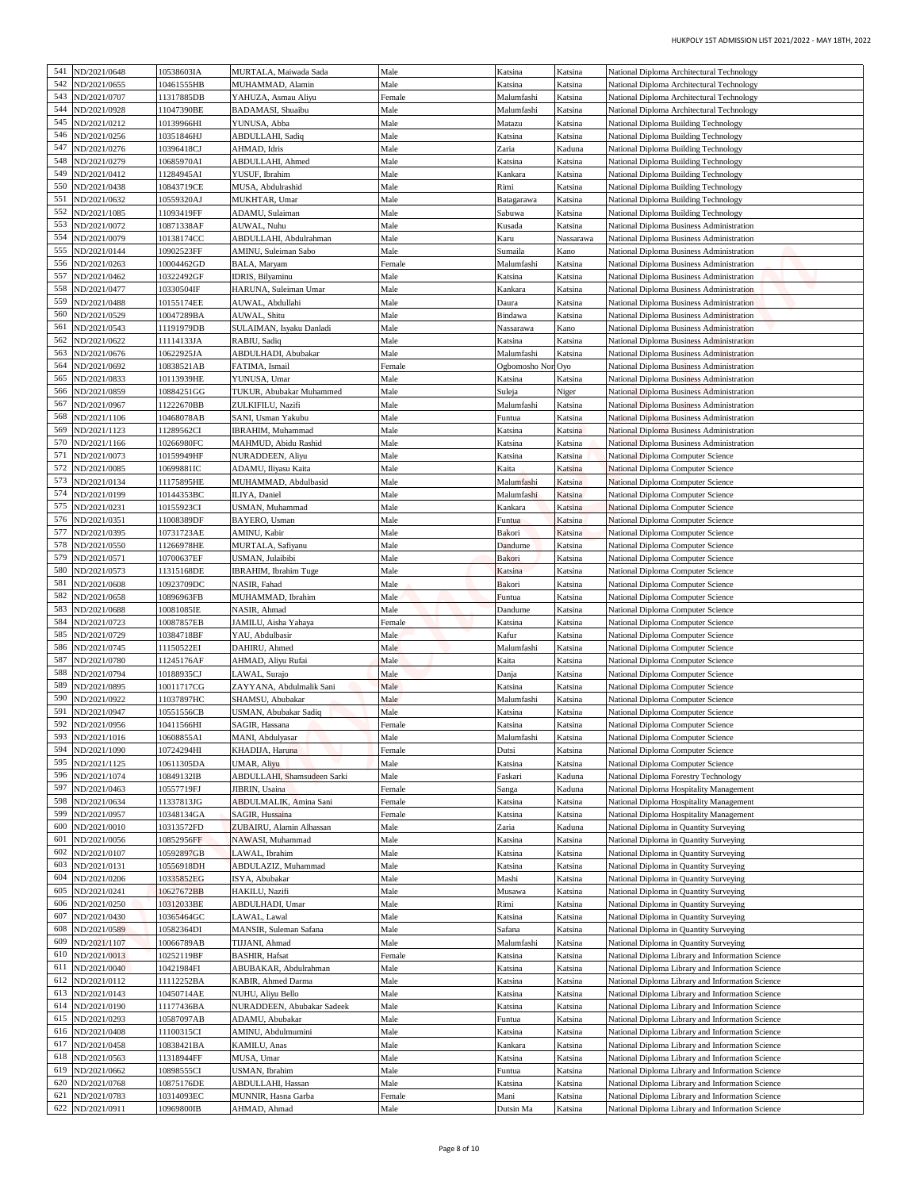| HUKPOLY 1ST ADMISSION LIST 2021/2022 - MAY 18TH, 2022                                                |                    |                          |                  |                                               |                          |                                  |            |
|------------------------------------------------------------------------------------------------------|--------------------|--------------------------|------------------|-----------------------------------------------|--------------------------|----------------------------------|------------|
| National Diploma Architectural Technology                                                            | Katsina            | Katsina                  | Male             | MURTALA, Maiwada Sada                         | 10538603IA               | ND/2021/0648                     | 541        |
| National Diploma Architectural Technology                                                            | Katsina            | Katsina                  | Male             | MUHAMMAD, Alamin                              | 10461555HB               | ND/2021/0655                     | 542<br>543 |
| National Diploma Architectural Technology<br>National Diploma Architectural Technology               | Katsina<br>Katsina | Malumfashi<br>Malumfashi | Female<br>Male   | YAHUZA, Asmau Aliyu<br>BADAMASI, Shuaibu      | 11317885DB<br>11047390BE | VD/2021/0707<br>ND/2021/0928     | 544        |
| National Diploma Building Technology                                                                 | Katsina            | Matazu                   | Male             | YUNUSA, Abba                                  | 10139966HI               | VD/2021/0212                     | 545        |
| National Diploma Building Technology                                                                 | Katsina            | Katsina                  | Male             | ABDULLAHI, Sadiq                              | 10351846HJ               | ND/2021/0256                     | 546        |
| National Diploma Building Technology                                                                 | Kaduna             | Zaria                    | Male<br>Male     | AHMAD, Idris<br>ABDULLAHI, Ahmed              | 10396418CJ<br>10685970AI | ND/2021/0276<br>ND/2021/0279     | 547<br>548 |
| National Diploma Building Technology<br>National Diploma Building Technology                         | Katsina<br>Katsina | Katsina<br>Kankara       | Male             | YUSUF, Ibrahim                                | 1284945AI                | ND/2021/0412                     | 549        |
| National Diploma Building Technology                                                                 | Katsina            | Rimi                     | Male             | MUSA, Abdulrashid                             | 10843719CE               | ND/2021/0438                     | 550        |
| National Diploma Building Technology                                                                 | Katsina            | Batagarawa               | Male             | MUKHTAR, Umar                                 | 10559320AJ               | ND/2021/0632                     | 551        |
| National Diploma Building Technology<br><b>National Diploma Business Administration</b>              | Katsina<br>Katsina | Sabuwa<br>Kusada         | Male<br>Male     | ADAMU, Sulaiman<br>AUWAL, Nuhu                | 1093419FF<br>10871338AF  | ND/2021/1085<br>ND/2021/0072     | 552<br>553 |
| National Diploma Business Administration                                                             | Nassarawa          | Karu                     | Male             | ABDULLAHI, Abdulrahman                        | 10138174CC               | ND/2021/0079                     | 554        |
| National Diploma Business Administration                                                             | Kano               | Sumaila                  | Male             | AMINU, Suleiman Sabo                          | 10902523FF               | VD/2021/0144                     | 555        |
| National Diploma Business Administration                                                             | Katsina            | Malumfashi               | Female           | BALA, Maryam                                  | 10004462GD               | VD/2021/0263                     | 556<br>557 |
| National Diploma Business Administration<br>National Diploma Business Administration                 | Katsina<br>Katsina | Katsina<br>Kankara       | Male<br>Male     | IDRIS, Bilyaminu<br>HARUNA, Suleiman Umar     | 10322492GF<br>10330504IF | VD/2021/0462<br>ND/2021/0477     | 558        |
| National Diploma Business Administration                                                             | Katsina            | Daura                    | Male             | AUWAL, Abdullahi                              | 10155174EE               | ND/2021/0488                     | 559        |
| National Diploma Business Administration                                                             | Katsina            | Bindawa                  | Male             | AUWAL, Shitu                                  | 10047289BA               | ND/2021/0529                     | 560        |
| National Diploma Business Administration<br>National Diploma Business Administration                 | Kano<br>Katsina    | Nassarawa<br>Katsina     | Male<br>Male     | SULAIMAN, Isyaku Danladi<br>RABIU, Sadiq      | 11191979DB<br>11114133JA | ND/2021/0543<br>ND/2021/0622     | 561<br>562 |
| <b>National Diploma Business Administration</b>                                                      | Katsina            | Malumfashi               | Male             | ABDULHADI, Abubakar                           | 10622925JA               | ND/2021/0676                     | 563        |
| National Diploma Business Administration                                                             |                    | Ogbomosho Nor Oyo        | Female           | FATIMA, Ismail                                | 10838521AB               | ND/2021/0692                     | 564        |
| National Diploma Business Administration                                                             | Katsina            | Katsina                  | Male             | YUNUSA, Umar                                  | 10113939HE               | ND/2021/0833                     | 565<br>566 |
| National Diploma Business Administration<br>National Diploma Business Administration                 | Niger<br>Katsina   | Suleja<br>Malumfashi     | Male<br>Male     | TUKUR, Abubakar Muhammed<br>ZULKIFILU, Nazifi | 10884251GG<br>11222670BB | ND/2021/0859<br>ND/2021/0967     | 567        |
| National Diploma Business Administration                                                             | Katsina            | Funtua                   | Male             | SANI, Usman Yakubu                            | 10468078AB               | ND/2021/1106                     | 568        |
| National Diploma Business Administration                                                             | Katsina            | Katsina                  | Male             | IBRAHIM, Muhammad                             | 11289562CI               | ND/2021/1123                     | 569        |
| National Diploma Business Administration<br>National Diploma Computer Science                        | Katsina<br>Katsina | Katsina                  | Male<br>Male     | MAHMUD, Abidu Rashid<br>NURADDEEN, Aliyu      | 10266980FC<br>10159949HF | ND/2021/1166<br>ND/2021/0073     | 570<br>571 |
| National Diploma Computer Science                                                                    | Katsina            | Katsina<br>Kaita         | Male             | ADAMU, Iliyasu Kaita                          | 10699881IC               | VD/2021/0085                     | 572        |
| National Diploma Computer Science                                                                    | Katsina            | Malumfashi               | Male             | MUHAMMAD, Abdulbasid                          | 11175895HE               | ND/2021/0134                     | 573        |
| National Diploma Computer Science                                                                    | Katsina            | Malumfashi               | Male             | ILIYA, Daniel                                 | 10144353BC               | VD/2021/0199                     | 574        |
| National Diploma Computer Science<br>National Diploma Computer Science                               | Katsina<br>Katsina | Kankara<br>Funtua        | Male<br>Male     | USMAN, Muhammad<br>BAYERO, Usman              | 10155923CI<br>1008389DF  | ND/2021/0231<br>ND/2021/0351     | 575<br>576 |
| National Diploma Computer Science                                                                    | Katsina            | Bakori                   | Male             | AMINU, Kabir                                  | 10731723AE               | ND/2021/0395                     | 577        |
| National Diploma Computer Science                                                                    | Katsina            | Dandume                  | Male             | MURTALA, Safiyanu                             | 11266978HE               | ND/2021/0550                     | 578        |
| National Diploma Computer Science                                                                    | Katsina            | Bakori                   | Male             | USMAN, Julaibibi                              | 10700637EF               | ND/2021/0571                     | 579<br>580 |
| National Diploma Computer Science<br>National Diploma Computer Science                               | Katsina<br>Katsina | Katsina<br>Bakori        | Male<br>Male     | IBRAHIM, Ibrahim Tuge<br>NASIR, Fahad         | 11315168DE<br>10923709DC | VD/2021/0573<br>VD/2021/0608     | 581        |
| National Diploma Computer Science                                                                    | Katsina            | Funtua                   | Male             | MUHAMMAD, Ibrahim                             | 0896963FB                | VD/2021/0658                     | 582        |
| National Diploma Computer Science                                                                    | Katsina            | Dandume                  | Male             | NASIR, Ahmad                                  | 0081085IE                | ND/2021/0688                     | 583        |
| National Diploma Computer Science<br>National Diploma Computer Science                               | Katsina<br>Katsina | Katsina<br>Kafur         | Female<br>Male   | JAMILU, Aisha Yahaya<br>YAU, Abdulbasir       | 10087857EB<br>10384718BF | ND/2021/0723<br>585 ND/2021/0729 | 584        |
| National Diploma Computer Science                                                                    | Katsina            | Malumfashi               | Male             | DAHIRU, Ahmed                                 | 11150522EI               | ND/2021/0745                     | 586        |
| National Diploma Computer Science                                                                    | Katsina            | Kaita                    | Male             | AHMAD, Aliyu Rufai                            | 11245176AF               | ND/2021/0780                     | 587        |
| National Diploma Computer Science                                                                    | Katsina            | Danja                    | Male             | LAWAL, Surajo                                 | 10188935CJ               | ND/2021/0794<br>ND/2021/0895     | 588<br>589 |
| National Diploma Computer Science<br>National Diploma Computer Science                               | Katsina<br>Katsina | Katsina<br>Malumfashi    | Male<br>Male     | ZAYYANA, Abdulmalik Sani<br>SHAMSU, Abubakar  | 10011717CG<br>1037897HC  | ND/2021/0922                     | 590        |
| National Diploma Computer Science                                                                    | Katsina            | Katsina                  | Male             | USMAN, Abubakar Sadiq                         | 10551556CB               | ND/2021/0947                     | 591        |
| National Diploma Computer Science                                                                    | Katsina            | Katsina                  | Female           | SAGIR, Hassana                                | 10411566HI               | ND/2021/0956                     | 592        |
| National Diploma Computer Science<br>National Diploma Computer Science                               | Katsina<br>Katsina | Malumfashi<br>Dutsi      | Male<br>Female   | MANI, Abdulyasar<br>KHADIJA, Haruna           | 10608855AI<br>10724294HI | VD/2021/1016<br>ND/2021/1090     | 593<br>594 |
| National Diploma Computer Science                                                                    | Katsina            | Katsina                  | Male             | UMAR, Aliyu                                   | 10611305DA               | ND/2021/1125                     | 595        |
| National Diploma Forestry Technology                                                                 | Kaduna             | Faskari                  | Male             | <b>ABDULLAHI, Shamsudeen Sarki</b>            | 0849132IB                | ND/2021/1074                     | 596        |
| National Diploma Hospitality Management                                                              | Kaduna             | Sanga                    | Female           | JIBRIN, Usaina                                | 10557719FJ               | ND/2021/0463                     | 597        |
| National Diploma Hospitality Management<br>National Diploma Hospitality Management                   | Katsina<br>Katsina | Katsina<br>Katsina       | Female<br>Female | ABDULMALIK, Amina Sani<br>SAGIR, Hussaina     | 11337813JG<br>10348134GA | ND/2021/0634<br>ND/2021/0957     | 598<br>599 |
| National Diploma in Quantity Surveying                                                               | Kaduna             | Zaria                    | Male             | ZUBAIRU, Alamin Alhassan                      | 10313572FD               | VD/2021/0010                     | 600        |
| National Diploma in Quantity Surveying                                                               | Katsina            | Katsina                  | Male             | NAWASI, Muhammad                              | 0852956FF                | ND/2021/0056                     | 601        |
| National Diploma in Quantity Surveying                                                               | Katsina<br>Katsina | Katsina                  | Male<br>Male     | LAWAL, Ibrahim<br>ABDULAZIZ, Muhammad         | 10592897GB<br>10556918DH | ND/2021/0107                     | 602<br>603 |
| National Diploma in Quantity Surveying<br>National Diploma in Quantity Surveying                     | Katsina            | Katsina<br>Mashi         | Male             | ISYA, Abubakar                                | 10335852EG               | ND/2021/0131<br>ND/2021/0206     | 604        |
| National Diploma in Quantity Surveying                                                               | Katsina            | Musawa                   | Male             | HAKILU, Nazifi                                | 10627672BB               | ND/2021/0241                     | 605        |
| National Diploma in Quantity Surveying                                                               | Katsina            | Rimi                     | Male             | ABDULHADI, Umar                               | 10312033BE               | ND/2021/0250                     | 606        |
| National Diploma in Quantity Surveying<br>National Diploma in Quantity Surveying                     | Katsina<br>Katsina | Katsina<br>Safana        | Male<br>Male     | LAWAL, Lawal<br>MANSIR, Suleman Safana        | 10365464GC<br>0582364DI  | ND/2021/0430<br>ND/2021/0589     | 607<br>608 |
| National Diploma in Quantity Surveying                                                               | Katsina            | Malumfashi               | Male             | TIJJANI, Ahmad                                | 10066789AB               | ND/2021/1107                     | 609        |
| National Diploma Library and Information Science                                                     | Katsina            | Katsina                  | Female           | <b>BASHIR, Hafsat</b>                         | 10252119BF               | ND/2021/0013                     | 610        |
| National Diploma Library and Information Science                                                     | Katsina            | Katsina                  | Male             | ABUBAKAR, Abdulrahman                         | 10421984FI               | ND/2021/0040                     | 611        |
| National Diploma Library and Information Science<br>National Diploma Library and Information Science | Katsina<br>Katsina | Katsina<br>Katsina       | Male<br>Male     | KABIR, Ahmed Darma<br>NUHU, Aliyu Bello       | 1112252BA<br>10450714AE  | ND/2021/0112<br>ND/2021/0143     | 612<br>613 |
| National Diploma Library and Information Science                                                     | Katsina            | Katsina                  | Male             | NURADDEEN, Abubakar Sadeek                    | 11177436BA               | ND/2021/0190                     | 614        |
| National Diploma Library and Information Science                                                     | Katsina            | Funtua                   | Male             | ADAMU, Abubakar                               | 10587097AB               | ND/2021/0293                     | 615        |
| National Diploma Library and Information Science                                                     | Katsina            | Katsina                  | Male             | AMINU, Abdulmumini                            | 11100315CI               | ND/2021/0408                     | 616        |
| National Diploma Library and Information Science<br>National Diploma Library and Information Science | Katsina<br>Katsina | Kankara<br>Katsina       | Male<br>Male     | KAMILU, Anas<br>MUSA, Umar                    | 0838421BA<br>11318944FF  | ND/2021/0458<br>ND/2021/0563     | 617<br>618 |
| National Diploma Library and Information Science                                                     | Katsina            | Funtua                   | Male             | USMAN, Ibrahim                                | 10898555CI               | VD/2021/0662                     | 619        |
| National Diploma Library and Information Science                                                     | Katsina            | Katsina                  | Male             | ABDULLAHI, Hassan                             | 0875176DE                | ND/2021/0768                     | 620        |
|                                                                                                      |                    |                          |                  |                                               |                          |                                  | 621        |
| National Diploma Library and Information Science<br>National Diploma Library and Information Science | Katsina<br>Katsina | Mani<br>Dutsin Ma        | Female<br>Male   | MUNNIR, Hasna Garba<br>AHMAD, Ahmad           | 10314093EC<br>10969800IB | ND/2021/0783<br>ND/2021/0911     | 622        |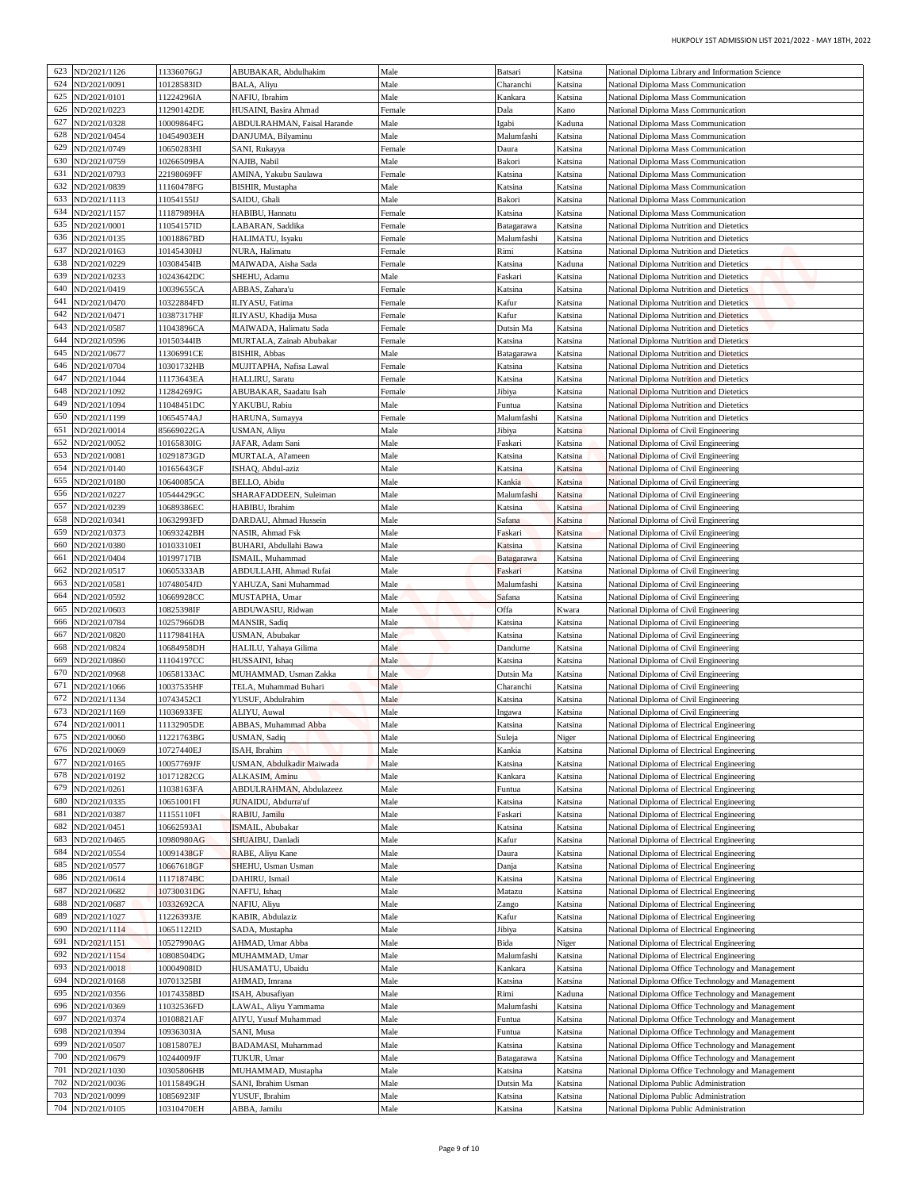| HUKPOLY 1ST ADMISSION LIST 2021/2022 - MAY 18TH, 2022                                                  |                    |                          |                  |                                                      |                          |                              |            |
|--------------------------------------------------------------------------------------------------------|--------------------|--------------------------|------------------|------------------------------------------------------|--------------------------|------------------------------|------------|
| National Diploma Library and Information Science                                                       | Katsina            | Batsari                  | Male             | ABUBAKAR, Abdulhakim                                 | 11336076GJ               | ND/2021/1126                 | 623        |
| National Diploma Mass Communication                                                                    | Katsina            | Charanchi                | Male             | BALA, Aliyu                                          | 10128583ID               | ND/2021/0091                 | 624        |
| National Diploma Mass Communication                                                                    | Katsina            | Kankara                  | Male             | NAFIU, Ibrahim                                       | 11224296IA<br>11290142DE | VD/2021/0101<br>ND/2021/0223 | 625<br>626 |
| National Diploma Mass Communication<br>National Diploma Mass Communication                             | Kano<br>Kaduna     | Dala<br>lgabi            | Female<br>Male   | HUSAINI, Basira Ahmad<br>ABDULRAHMAN, Faisal Harande | 10009864FG               | ND/2021/0328                 | 627        |
| National Diploma Mass Communication                                                                    | Katsina            | Malumfashi               | Male             | DANJUMA, Bilyaminu                                   | 10454903EH               | ND/2021/0454                 | 628        |
| National Diploma Mass Communication                                                                    | Katsina            | Daura                    | Female           | SANI, Rukayya                                        | 10650283HI               | ND/2021/0749                 | 629        |
| National Diploma Mass Communication<br>National Diploma Mass Communication                             | Katsina<br>Katsina | Bakori<br>Katsina        | Male<br>Female   | NAJIB, Nabil<br>AMINA, Yakubu Saulawa                | 10266509BA<br>22198069FF | ND/2021/0759<br>ND/2021/0793 | 630<br>631 |
| National Diploma Mass Communication                                                                    | Katsina            | Katsina                  | Male             | BISHIR, Mustapha                                     | 11160478FG               | ND/2021/0839                 | 632        |
| National Diploma Mass Communication                                                                    | Katsina            | Bakori                   | Male             | SAIDU, Ghali                                         | 1054155IJ                | ND/2021/1113                 | 633        |
| National Diploma Mass Communication                                                                    | Katsina            | Katsina                  | Female           | HABIBU, Hannatu                                      | l 1187989HA              | ND/2021/1157                 | 634        |
| National Diploma Nutrition and Dietetics<br>National Diploma Nutrition and Dietetics                   | Katsina<br>Katsina | Batagarawa<br>Malumfashi | Female<br>Female | ABARAN, Saddika<br>HALIMATU, Isyaku                  | 1054157ID<br>10018867BD  | ND/2021/0001<br>ND/2021/0135 | 635<br>636 |
| National Diploma Nutrition and Dietetics                                                               | Katsina            | Rimi                     | Female           | NURA, Halimatu                                       | 10145430HJ               | VD/2021/0163                 | 637        |
| National Diploma Nutrition and Dietetics                                                               | Kaduna             | Katsina                  | Female           | MAIWADA, Aisha Sada                                  | 10308454IB               | ND/2021/0229                 | 638        |
| National Diploma Nutrition and Dietetics                                                               | Katsina            | Faskari                  | Male             | SHEHU, Adamu                                         | 10243642DC               | ND/2021/0233                 | 639<br>640 |
| National Diploma Nutrition and Dietetics<br>National Diploma Nutrition and Dietetics                   | Katsina<br>Katsina | Katsina<br><b>Kafur</b>  | Female<br>Female | ABBAS, Zahara'u<br>ILIYASU, Fatima                   | 10039655CA<br>10322884FD | ND/2021/0419<br>ND/2021/0470 | 641        |
| National Diploma Nutrition and Dietetics                                                               | Katsina            | <b>Kafur</b>             | Female           | ILIYASU, Khadija Musa                                | 10387317HF               | ND/2021/0471                 | 642        |
| National Diploma Nutrition and Dietetics                                                               | Katsina            | Dutsin Ma                | Female           | MAIWADA, Halimatu Sada                               | 11043896CA               | ND/2021/0587                 | 643        |
| National Diploma Nutrition and Dietetics                                                               | Katsina            | Katsina                  | Female<br>Male   | MURTALA, Zainab Abubakar<br><b>BISHIR, Abbas</b>     | 10150344IB<br>1306991CE  | VD/2021/0596<br>ND/2021/0677 | 644<br>645 |
| National Diploma Nutrition and Dietetics<br>National Diploma Nutrition and Dietetics                   | Katsina<br>Katsina | Batagarawa<br>Katsina    | Female           | MUJITAPHA, Nafisa Lawal                              | 0301732HB                | ND/2021/0704                 | 646        |
| National Diploma Nutrition and Dietetics                                                               | Katsina            | Katsina                  | Female           | HALLIRU, Saratu                                      | 11173643EA               | ND/2021/1044                 | 647        |
| National Diploma Nutrition and Dietetics                                                               | Katsina            | Jibiya                   | Female           | ABUBAKAR, Saadatu Isah                               | 11284269JG               | ND/2021/1092                 | 648        |
| National Diploma Nutrition and Dietetics<br>National Diploma Nutrition and Dietetics                   | Katsina<br>Katsina | Funtua<br>Malumfashi     | Male<br>Female   | YAKUBU, Rabiu<br>HARUNA, Sumayya                     | 11048451DC<br>10654574AJ | VD/2021/1094<br>ND/2021/1199 | 649<br>650 |
| National Diploma of Civil Engineering                                                                  | Katsina            | Jibiya                   | Male             | USMAN, Aliyu                                         | 85669022GA               | ND/2021/0014                 | 651        |
| National Diploma of Civil Engineering                                                                  | Katsina            | Faskari                  | Male             | JAFAR, Adam Sani                                     | 10165830IG               | ND/2021/0052                 | 652        |
| National Diploma of Civil Engineering                                                                  | Katsina            | Katsina                  | Male             | MURTALA, Al'ameen                                    | 10291873GD               | VD/2021/0081                 | 653        |
| National Diploma of Civil Engineering<br>National Diploma of Civil Engineering                         | Katsina<br>Katsina | <b>Catsina</b><br>Kankia | Male<br>Male     | ISHAQ, Abdul-aziz<br>BELLO, Abidu                    | 10165643GF<br>10640085CA | ND/2021/0140<br>ND/2021/0180 | 654<br>655 |
| National Diploma of Civil Engineering                                                                  | Katsina            | Malumfashi               | Male             | SHARAFADDEEN, Suleiman                               | 10544429GC               | VD/2021/0227                 | 656        |
| National Diploma of Civil Engineering                                                                  | Katsina            | Katsina                  | Male             | HABIBU, Ibrahim                                      | 0689386EC                | ND/2021/0239                 | 657        |
| National Diploma of Civil Engineering                                                                  | Katsina            | Safana                   | Male             | DARDAU, Ahmad Hussein                                | 10632993FD               | ND/2021/0341                 | 658        |
| National Diploma of Civil Engineering<br>National Diploma of Civil Engineering                         | Katsina<br>Katsina | Faskari<br>Katsina       | Male<br>Male     | NASIR, Ahmad Fsk<br>BUHARI, Abdullahi Bawa           | 0693242BH<br>10103310EI  | ND/2021/0373<br>ND/2021/0380 | 659<br>660 |
| National Diploma of Civil Engineering                                                                  | Katsina            | Batagarawa               | Male             | ISMAIL, Muhammad                                     | 10199717IB               | ND/2021/0404                 | 661        |
| National Diploma of Civil Engineering                                                                  | Katsina            | Faskari                  | Male             | ABDULLAHI, Ahmad Rufai                               | 10605333AB               | ND/2021/0517                 | 662        |
| National Diploma of Civil Engineering                                                                  | Katsina            | Malumfashi               | Male             | YAHUZA, Sani Muhammad                                | 10748054JD               | VD/2021/0581                 | 663        |
| National Diploma of Civil Engineering<br>National Diploma of Civil Engineering                         | Katsina<br>Kwara   | Safana<br>Offa           | Male<br>Male     | MUSTAPHA, Umar<br>ABDUWASIU, Ridwan                  | 0669928CC<br>10825398IF  | ND/2021/0592<br>ND/2021/0603 | 664<br>665 |
| National Diploma of Civil Engineering                                                                  | Katsina            | Katsina                  | Male             | <b>MANSIR, Sadiq</b>                                 | 10257966DB               | ND/2021/0784                 | 666        |
| National Diploma of Civil Engineering                                                                  | Katsina            | Katsina                  | Male             | USMAN, Abubakar                                      | 11179841HA               | 667 ND/2021/0820             |            |
| National Diploma of Civil Engineering                                                                  | Katsina            | Dandume                  | Male             | HALILU, Yahaya Gilima                                | 10684958DH               | ND/2021/0824                 | 668        |
| National Diploma of Civil Engineering<br>National Diploma of Civil Engineering                         | Katsina<br>Katsina | Katsina<br>Dutsin Ma     | Male<br>Male     | HUSSAINI, Ishaq<br>MUHAMMAD, Usman Zakka             | 11104197CC<br>10658133AC | ND/2021/0860<br>ND/2021/0968 | 669<br>670 |
| National Diploma of Civil Engineering                                                                  | Katsina            | Charanchi                | Male             | TELA, Muhammad Buhari                                | 10037535HF               | ND/2021/1066                 | 671        |
| National Diploma of Civil Engineering                                                                  | Katsina            | Katsina                  | Male             | YUSUF, Abdulrahim                                    | 10743452CI               | ND/2021/1134                 | 672        |
| National Diploma of Civil Engineering                                                                  | Katsina            | Ingawa                   | Male             | ALIYU, Auwal                                         | 11036933FE               | ND/2021/1169                 | 673        |
| National Diploma of Electrical Engineering                                                             | Katsina            | Katsina                  | Male             | ABBAS, Muhammad Abba                                 | 11132905DE               | ND/2021/0011<br>ND/2021/0060 | 674<br>675 |
| National Diploma of Electrical Engineering<br>National Diploma of Electrical Engineering               | Niger<br>Katsina   | Suleja<br>Kankia         | Male<br>Male     | USMAN, Sadiq<br>ISAH, Ibrahim                        | 1221763BG<br>10727440EJ  | ND/2021/0069                 | 676        |
| National Diploma of Electrical Engineering                                                             | Katsina            | Katsina                  | Male             | USMAN, Abdulkadir Maiwada                            | 10057769JF               | ND/2021/0165                 | 677        |
| National Diploma of Electrical Engineering                                                             | Katsina            | Kankara                  | Male             | ALKASIM, Aminu                                       | 10171282CG               | ND/2021/0192                 | 678        |
| National Diploma of Electrical Engineering                                                             | Katsina            | Funtua                   | Male             | ABDULRAHMAN, Abdulazeez                              | 11038163FA               | ND/2021/0261                 | 679<br>680 |
| National Diploma of Electrical Engineering<br>National Diploma of Electrical Engineering               | Katsina<br>Katsina | Katsina<br>Faskari       | Male<br>Male     | JUNAIDU, Abdurra'uf<br>RABIU, Jamilu                 | 10651001FI<br>11155110FI | ND/2021/0335<br>ND/2021/0387 | 681        |
| National Diploma of Electrical Engineering                                                             | Katsina            | Katsina                  | Male             | ISMAIL, Abubakar                                     | 0662593AI                | ND/2021/0451                 | 682        |
| National Diploma of Electrical Engineering                                                             | Katsina            | Kafur                    | Male             | SHUAIBU, Danladi                                     | 0980980AG                | ND/2021/0465                 | 683        |
| National Diploma of Electrical Engineering                                                             | Katsina            | Daura                    | Male             | RABE, Aliyu Kane                                     | 10091438GF               | ND/2021/0554                 | 684<br>685 |
| National Diploma of Electrical Engineering<br>National Diploma of Electrical Engineering               | Katsina<br>Katsina | Danja<br>Katsina         | Male<br>Male     | SHEHU, Usman Usman<br>DAHIRU, Ismail                 | 10667618GF<br>11171874BC | ND/2021/0577<br>ND/2021/0614 | 686        |
| National Diploma of Electrical Engineering                                                             | Katsina            | Matazu                   | Male             | NAFI'U, Ishaq                                        | 10730031DG               | ND/2021/0682                 | 687        |
| National Diploma of Electrical Engineering                                                             | Katsina            | Zango                    | Male             | NAFIU, Aliyu                                         | 10332692CA               | ND/2021/0687                 | 688        |
| National Diploma of Electrical Engineering                                                             | Katsina            | Kafur                    | Male             | KABIR, Abdulaziz                                     | 1226393JE                | ND/2021/1027                 | 689<br>690 |
| National Diploma of Electrical Engineering<br>National Diploma of Electrical Engineering               | Katsina<br>Niger   | Jibiya<br>Bida           | Male<br>Male     | SADA, Mustapha<br>AHMAD, Umar Abba                   | 10651122ID<br>10527990AG | ND/2021/1114<br>ND/2021/1151 | 691        |
| National Diploma of Electrical Engineering                                                             | Katsina            | Malumfashi               | Male             | MUHAMMAD, Umar                                       | 10808504DG               | ND/2021/1154                 | 692        |
| National Diploma Office Technology and Management                                                      | Katsina            | Kankara                  | Male             | HUSAMATU, Ubaidu                                     | 10004908ID               | ND/2021/0018                 | 693        |
| National Diploma Office Technology and Management                                                      | Katsina            | Katsina                  | Male<br>Male     | AHMAD, Imrana                                        | 10701325BI               | ND/2021/0168                 | 694<br>695 |
| National Diploma Office Technology and Management<br>National Diploma Office Technology and Management | Kaduna<br>Katsina  | Rimi<br>Malumfashi       | Male             | ISAH, Abusafiyan<br>LAWAL, Aliyu Yammama             | 10174358BD<br>1032536FD  | ND/2021/0356<br>ND/2021/0369 | 696        |
| National Diploma Office Technology and Management                                                      | Katsina            | Funtua                   | Male             | AIYU, Yusuf Muhammad                                 | 10108821AF               | ND/2021/0374                 | 697        |
| National Diploma Office Technology and Management                                                      | Katsina            | Funtua                   | Male             | SANI, Musa                                           | 10936303IA               | ND/2021/0394                 | 698        |
| National Diploma Office Technology and Management                                                      | Katsina            | Katsina                  | Male             | BADAMASI, Muhammad                                   | 10815807EJ               | ND/2021/0507                 | 699        |
| National Diploma Office Technology and Management                                                      | Katsina<br>Katsina | Batagarawa<br>Katsina    | Male<br>Male     | TUKUR, Umar<br>MUHAMMAD, Mustapha                    | 0244009JF<br>10305806HB  | ND/2021/0679<br>ND/2021/1030 | 700<br>701 |
|                                                                                                        |                    |                          |                  |                                                      |                          |                              | 702        |
| National Diploma Office Technology and Management<br>National Diploma Public Administration            | Katsina            | Dutsin Ma                | Male             | SANI, Ibrahim Usman                                  | 10115849GH               | ND/2021/0036                 |            |
| National Diploma Public Administration                                                                 | Katsina            | Katsina                  | Male             | YUSUF, Ibrahim                                       | 10856923IF               | ND/2021/0099                 | 703        |